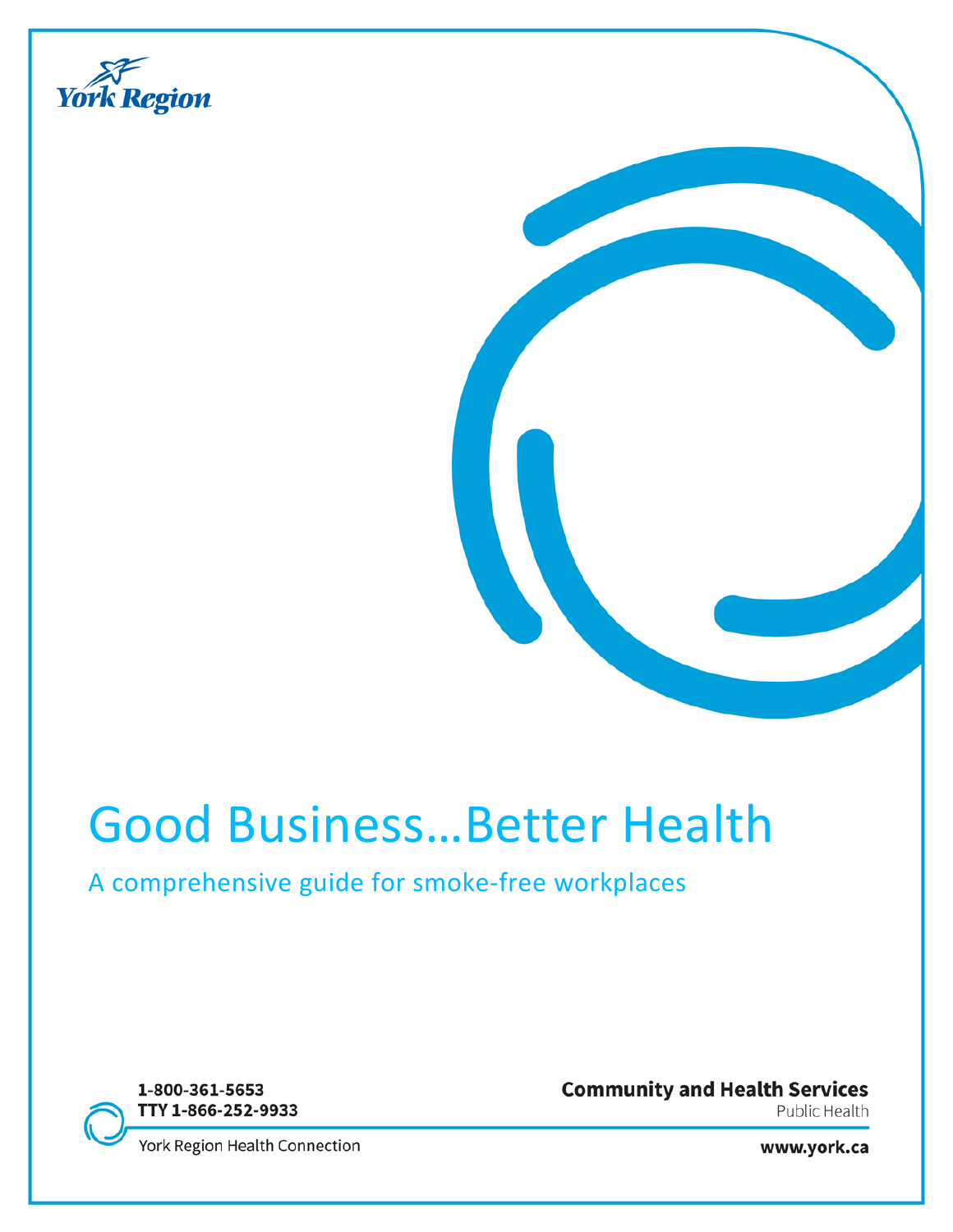

# Good Business…Better Health

# A comprehensive guide for smoke-free workplaces

1-800-361-5653 TTY 1-866-252-9933 **Community and Health Services** Public Health

York Region Health Connection

www.york.ca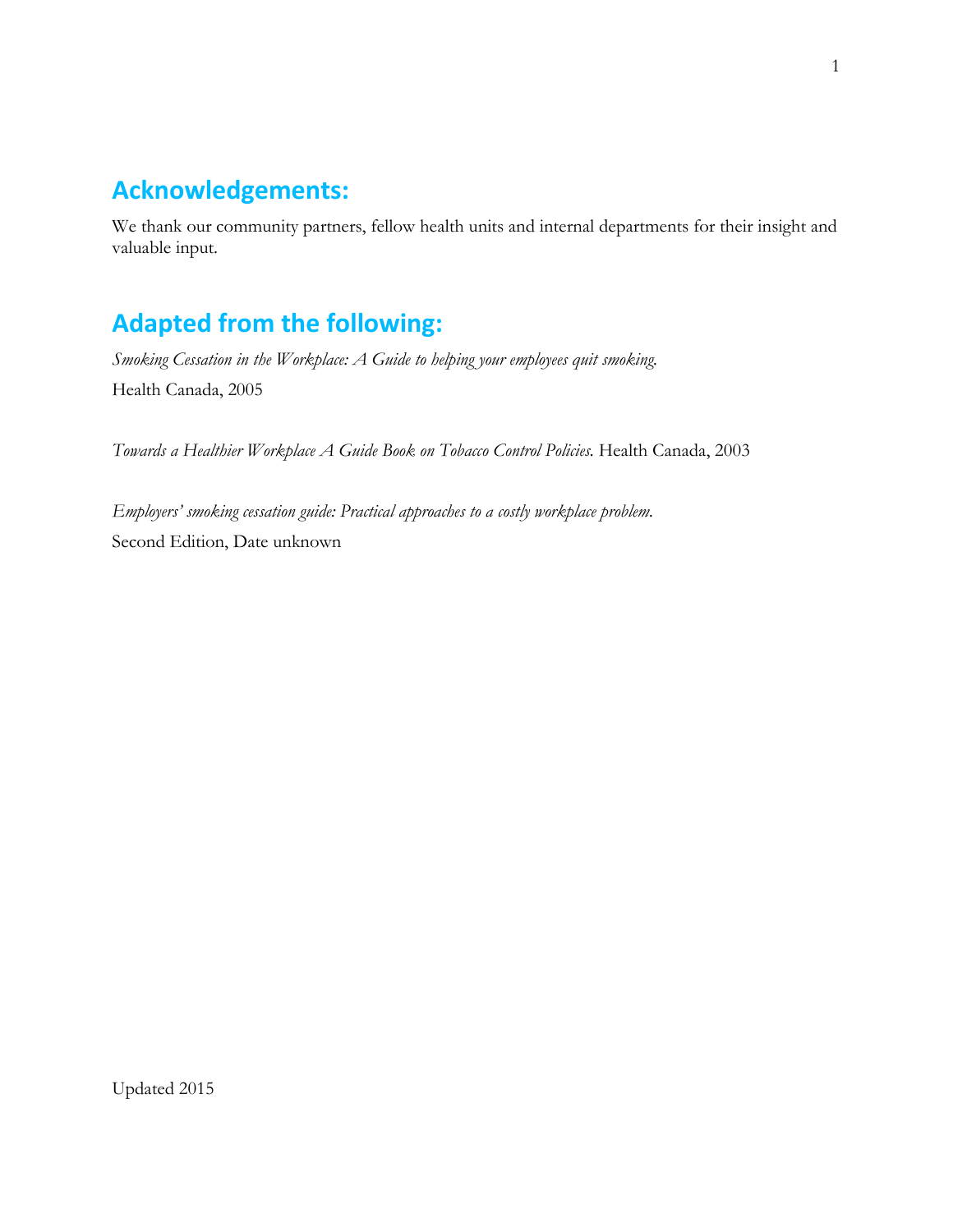# **Acknowledgements:**

We thank our community partners, fellow health units and internal departments for their insight and valuable input.

# **Adapted from the following:**

*Smoking Cessation in the Workplace: A Guide to helping your employees quit smoking.* Health Canada, 2005

*Towards a Healthier Workplace A Guide Book on Tobacco Control Policies.* Health Canada, 2003

*Employers' smoking cessation guide: Practical approaches to a costly workplace problem.* Second Edition, Date unknown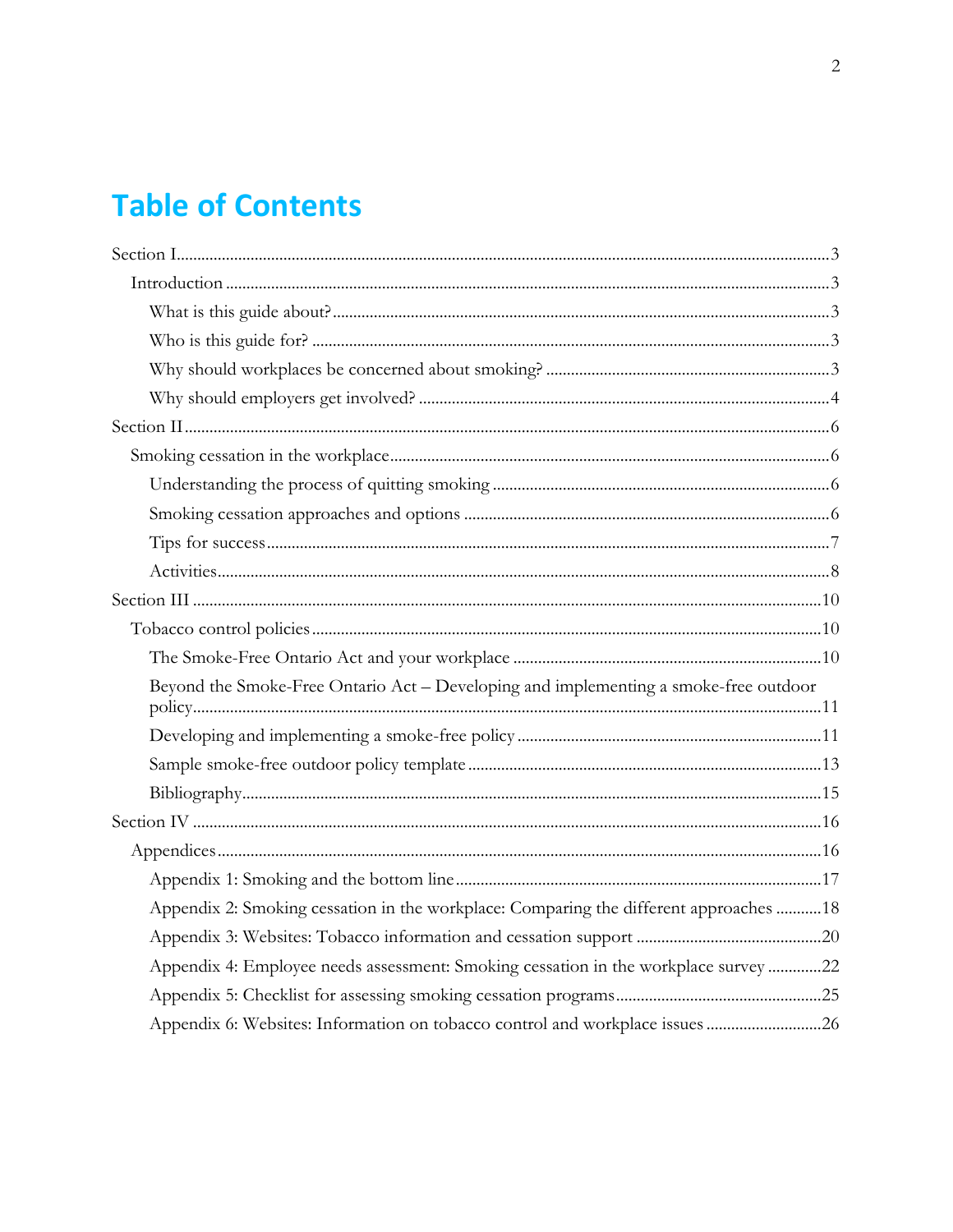# **Table of Contents**

| Beyond the Smoke-Free Ontario Act – Developing and implementing a smoke-free outdoor   |  |
|----------------------------------------------------------------------------------------|--|
|                                                                                        |  |
|                                                                                        |  |
|                                                                                        |  |
|                                                                                        |  |
|                                                                                        |  |
|                                                                                        |  |
| Appendix 2: Smoking cessation in the workplace: Comparing the different approaches  18 |  |
|                                                                                        |  |
| Appendix 4: Employee needs assessment: Smoking cessation in the workplace survey 22    |  |
|                                                                                        |  |
| Appendix 6: Websites: Information on tobacco control and workplace issues 26           |  |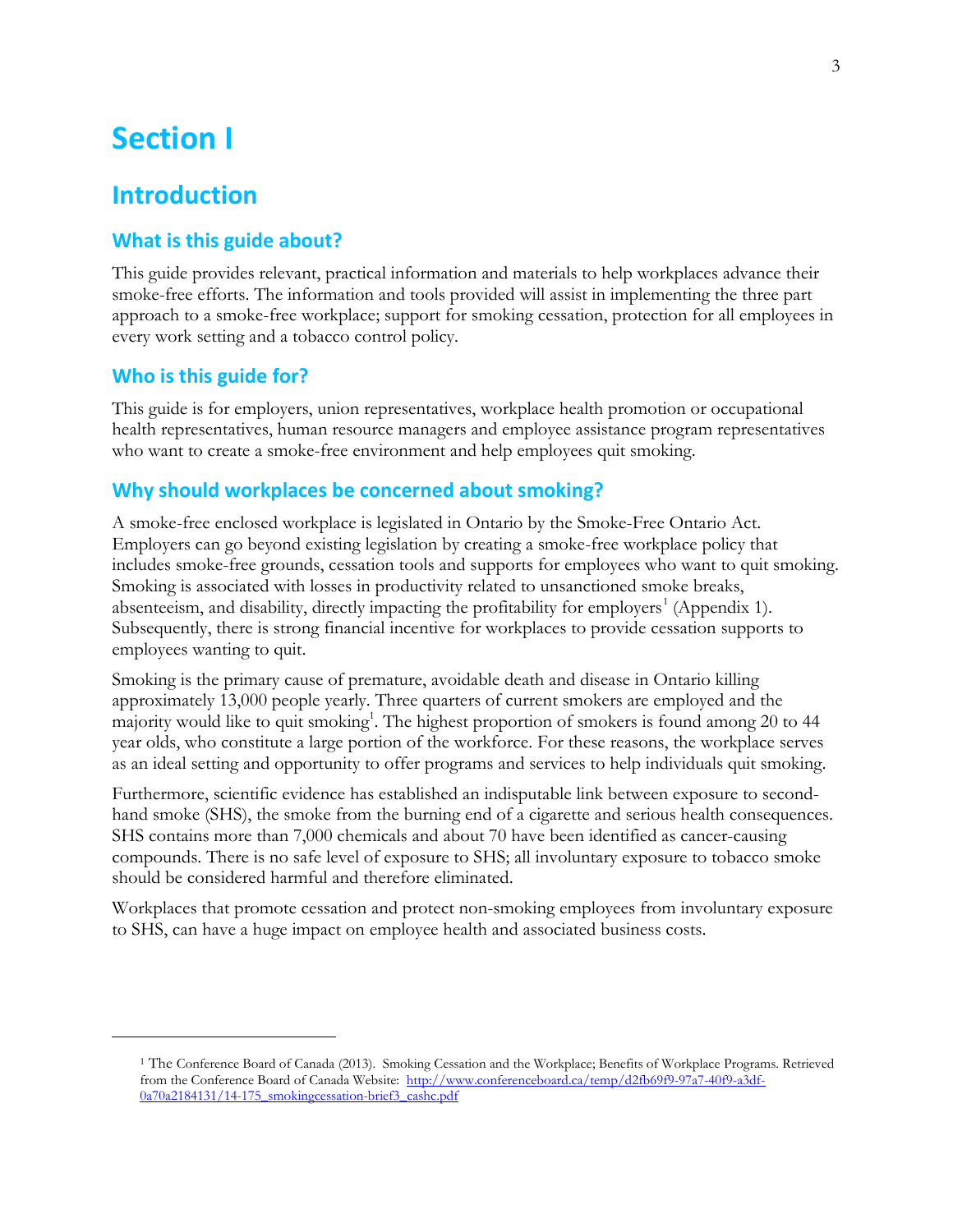# <span id="page-3-0"></span>**Section I**

# <span id="page-3-1"></span>**Introduction**

# <span id="page-3-2"></span>**What is this guide about?**

This guide provides relevant, practical information and materials to help workplaces advance their smoke-free efforts. The information and tools provided will assist in implementing the three part approach to a smoke-free workplace; support for smoking cessation, protection for all employees in every work setting and a tobacco control policy.

# <span id="page-3-3"></span>**Who is this guide for?**

<span id="page-3-5"></span> $\overline{a}$ 

This guide is for employers, union representatives, workplace health promotion or occupational health representatives, human resource managers and employee assistance program representatives who want to create a smoke-free environment and help employees quit smoking.

## <span id="page-3-4"></span>**Why should workplaces be concerned about smoking?**

A smoke-free enclosed workplace is legislated in Ontario by the Smoke-Free Ontario Act. Employers can go beyond existing legislation by creating a smoke-free workplace policy that includes smoke-free grounds, cessation tools and supports for employees who want to quit smoking. Smoking is associated with losses in productivity related to unsanctioned smoke breaks, absenteeism, and disability, directly impacting the profitability for employers<sup>[1](#page-3-5)</sup> (Appendix 1). Subsequently, there is strong financial incentive for workplaces to provide cessation supports to employees wanting to quit.

Smoking is the primary cause of premature, avoidable death and disease in Ontario killing approximately 13,000 people yearly. Three quarters of current smokers are employed and the majority would like to quit smoking<sup>1</sup>. The highest proportion of smokers is found among 20 to 44 year olds, who constitute a large portion of the workforce. For these reasons, the workplace serves as an ideal setting and opportunity to offer programs and services to help individuals quit smoking.

Furthermore, scientific evidence has established an indisputable link between exposure to secondhand smoke (SHS), the smoke from the burning end of a cigarette and serious health consequences. SHS contains more than 7,000 chemicals and about 70 have been identified as cancer-causing compounds. There is no safe level of exposure to SHS; all involuntary exposure to tobacco smoke should be considered harmful and therefore eliminated.

Workplaces that promote cessation and protect non-smoking employees from involuntary exposure to SHS, can have a huge impact on employee health and associated business costs.

<sup>1</sup> The Conference Board of Canada (2013). Smoking Cessation and the Workplace; Benefits of Workplace Programs. Retrieved from the Conference Board of Canada Website: [http://www.conferenceboard.ca/temp/d2fb69f9-97a7-40f9-a3df-](http://www.conferenceboard.ca/temp/d2fb69f9-97a7-40f9-a3df-0a70a2184131/14-175_smokingcessation-brief3_cashc.pdf)[0a70a2184131/14-175\\_smokingcessation-brief3\\_cashc.pdf](http://www.conferenceboard.ca/temp/d2fb69f9-97a7-40f9-a3df-0a70a2184131/14-175_smokingcessation-brief3_cashc.pdf)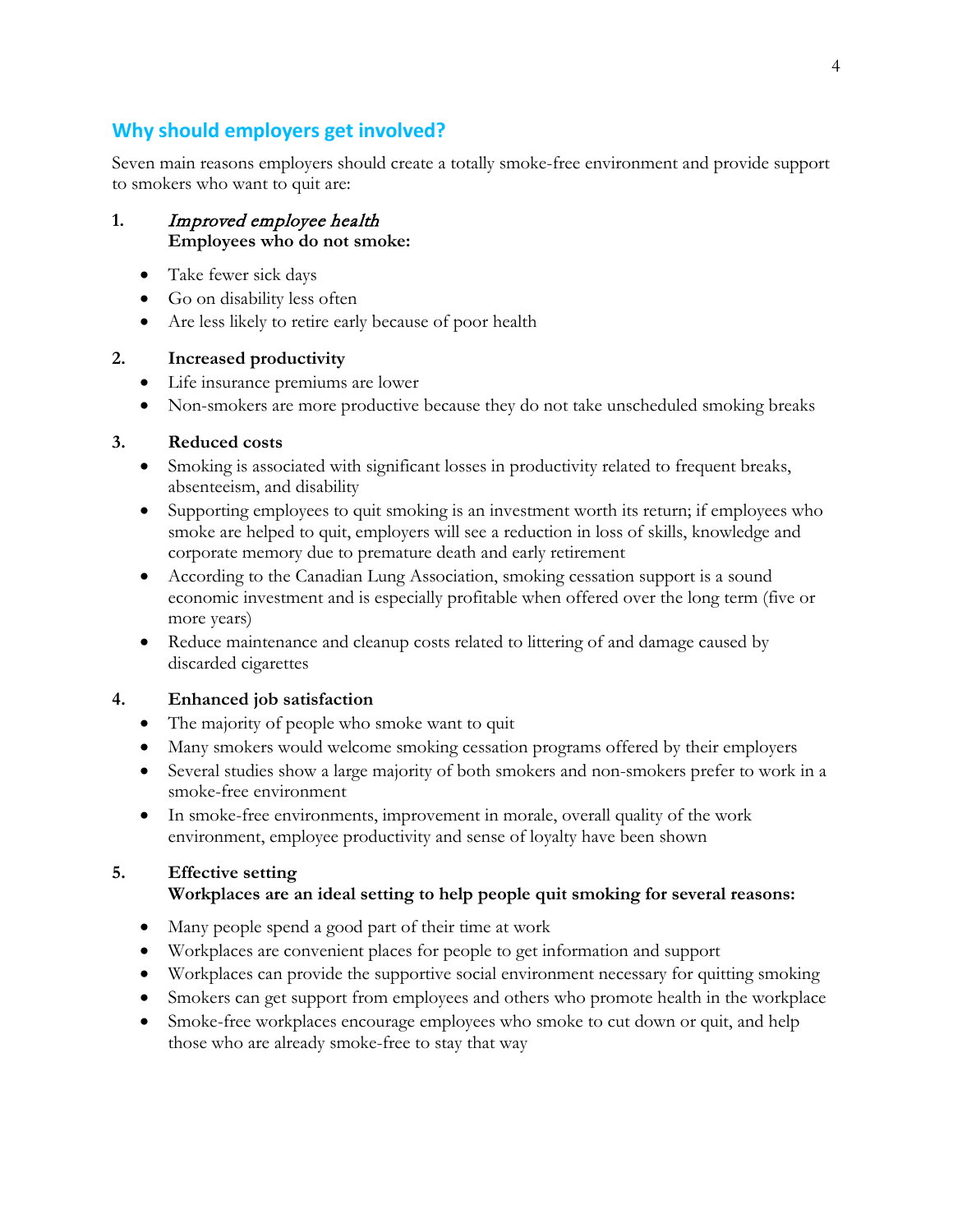# <span id="page-4-0"></span>**Why should employers get involved?**

Seven main reasons employers should create a totally smoke-free environment and provide support to smokers who want to quit are:

#### **1.** Improved employee health **Employees who do not smoke:**

- Take fewer sick days
- Go on disability less often
- Are less likely to retire early because of poor health

#### **2. Increased productivity**

- Life insurance premiums are lower
- Non-smokers are more productive because they do not take unscheduled smoking breaks

#### **3. Reduced costs**

- Smoking is associated with significant losses in productivity related to frequent breaks, absenteeism, and disability
- Supporting employees to quit smoking is an investment worth its return; if employees who smoke are helped to quit, employers will see a reduction in loss of skills, knowledge and corporate memory due to premature death and early retirement
- According to the Canadian Lung Association, smoking cessation support is a sound economic investment and is especially profitable when offered over the long term (five or more years)
- Reduce maintenance and cleanup costs related to littering of and damage caused by discarded cigarettes

### **4. Enhanced job satisfaction**

- The majority of people who smoke want to quit
- Many smokers would welcome smoking cessation programs offered by their employers
- Several studies show a large majority of both smokers and non-smokers prefer to work in a smoke-free environment
- In smoke-free environments, improvement in morale, overall quality of the work environment, employee productivity and sense of loyalty have been shown

### **5. Effective setting**

### **Workplaces are an ideal setting to help people quit smoking for several reasons:**

- Many people spend a good part of their time at work
- Workplaces are convenient places for people to get information and support
- Workplaces can provide the supportive social environment necessary for quitting smoking
- Smokers can get support from employees and others who promote health in the workplace
- Smoke-free workplaces encourage employees who smoke to cut down or quit, and help those who are already smoke-free to stay that way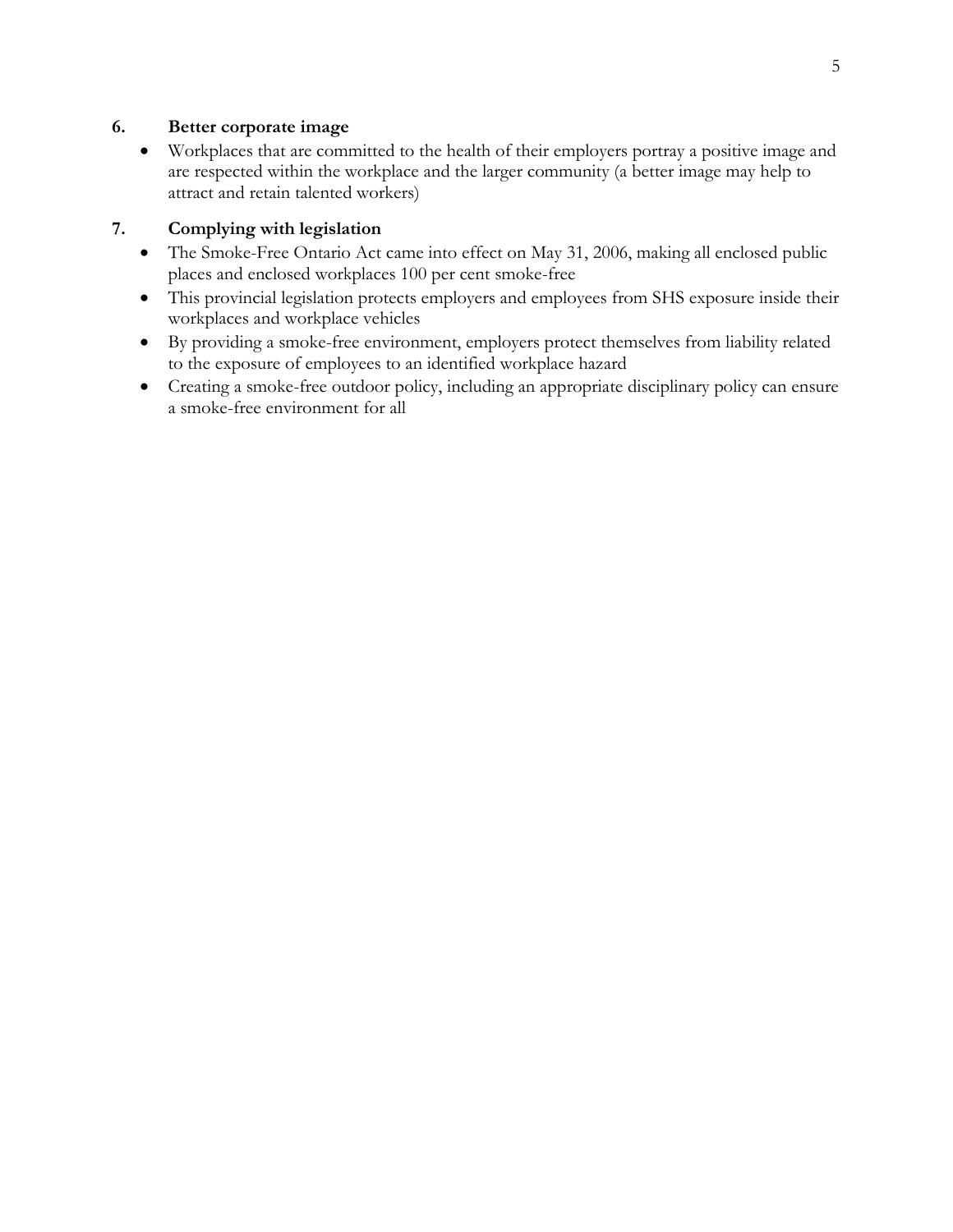### **6. Better corporate image**

• Workplaces that are committed to the health of their employers portray a positive image and are respected within the workplace and the larger community (a better image may help to attract and retain talented workers)

#### **7. Complying with legislation**

- The Smoke-Free Ontario Act came into effect on May 31, 2006, making all enclosed public places and enclosed workplaces 100 per cent smoke-free
- This provincial legislation protects employers and employees from SHS exposure inside their workplaces and workplace vehicles
- By providing a smoke-free environment, employers protect themselves from liability related to the exposure of employees to an identified workplace hazard
- Creating a smoke-free outdoor policy, including an appropriate disciplinary policy can ensure a smoke-free environment for all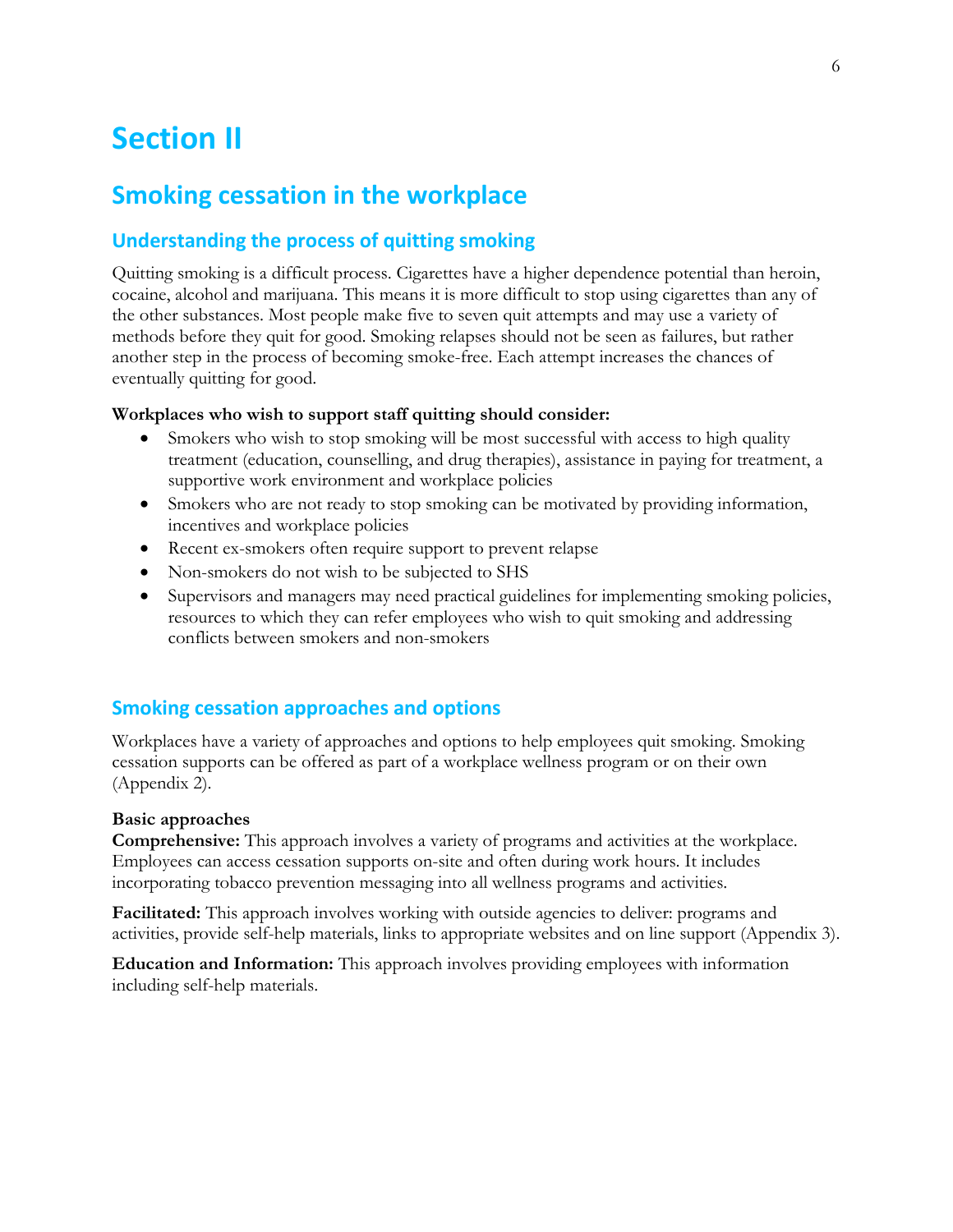# <span id="page-6-0"></span>**Section II**

# <span id="page-6-1"></span>**Smoking cessation in the workplace**

# <span id="page-6-2"></span>**Understanding the process of quitting smoking**

Quitting smoking is a difficult process. Cigarettes have a higher dependence potential than heroin, cocaine, alcohol and marijuana. This means it is more difficult to stop using cigarettes than any of the other substances. Most people make five to seven quit attempts and may use a variety of methods before they quit for good. Smoking relapses should not be seen as failures, but rather another step in the process of becoming smoke-free. Each attempt increases the chances of eventually quitting for good.

#### **Workplaces who wish to support staff quitting should consider:**

- Smokers who wish to stop smoking will be most successful with access to high quality treatment (education, counselling, and drug therapies), assistance in paying for treatment, a supportive work environment and workplace policies
- Smokers who are not ready to stop smoking can be motivated by providing information, incentives and workplace policies
- Recent ex-smokers often require support to prevent relapse
- Non-smokers do not wish to be subjected to SHS
- Supervisors and managers may need practical guidelines for implementing smoking policies, resources to which they can refer employees who wish to quit smoking and addressing conflicts between smokers and non-smokers

### <span id="page-6-3"></span>**Smoking cessation approaches and options**

Workplaces have a variety of approaches and options to help employees quit smoking. Smoking cessation supports can be offered as part of a workplace wellness program or on their own (Appendix 2).

#### **Basic approaches**

**Comprehensive:** This approach involves a variety of programs and activities at the workplace. Employees can access cessation supports on-site and often during work hours. It includes incorporating tobacco prevention messaging into all wellness programs and activities.

**Facilitated:** This approach involves working with outside agencies to deliver: programs and activities, provide self-help materials, links to appropriate websites and on line support (Appendix 3).

**Education and Information:** This approach involves providing employees with information including self-help materials.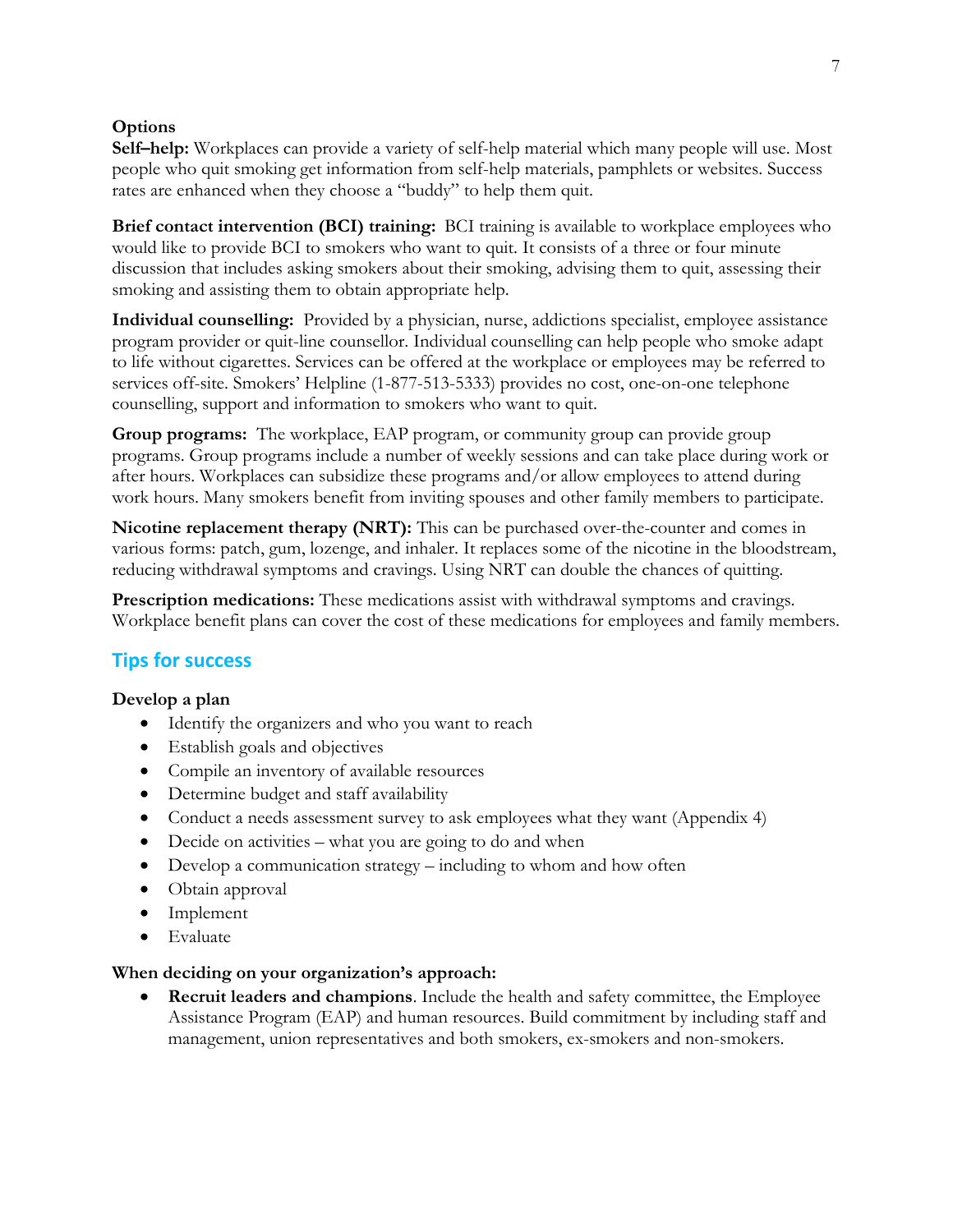## **Options**

**Self–help:** Workplaces can provide a variety of self-help material which many people will use. Most people who quit smoking get information from self-help materials, pamphlets or websites. Success rates are enhanced when they choose a "buddy" to help them quit.

**Brief contact intervention (BCI) training:** BCI training is available to workplace employees who would like to provide BCI to smokers who want to quit. It consists of a three or four minute discussion that includes asking smokers about their smoking, advising them to quit, assessing their smoking and assisting them to obtain appropriate help.

**Individual counselling:** Provided by a physician, nurse, addictions specialist, employee assistance program provider or quit-line counsellor. Individual counselling can help people who smoke adapt to life without cigarettes. Services can be offered at the workplace or employees may be referred to services off-site. Smokers' Helpline (1-877-513-5333) provides no cost, one-on-one telephone counselling, support and information to smokers who want to quit.

**Group programs:** The workplace, EAP program, or community group can provide group programs. Group programs include a number of weekly sessions and can take place during work or after hours. Workplaces can subsidize these programs and/or allow employees to attend during work hours. Many smokers benefit from inviting spouses and other family members to participate.

**Nicotine replacement therapy (NRT):** This can be purchased over-the-counter and comes in various forms: patch, gum, lozenge, and inhaler. It replaces some of the nicotine in the bloodstream, reducing withdrawal symptoms and cravings. Using NRT can double the chances of quitting.

**Prescription medications:** These medications assist with withdrawal symptoms and cravings. Workplace benefit plans can cover the cost of these medications for employees and family members.

# <span id="page-7-0"></span>**Tips for success**

### **Develop a plan**

- Identify the organizers and who you want to reach
- Establish goals and objectives
- Compile an inventory of available resources
- Determine budget and staff availability
- Conduct a needs assessment survey to ask employees what they want (Appendix 4)
- Decide on activities what you are going to do and when
- Develop a communication strategy including to whom and how often
- Obtain approval
- Implement
- Evaluate

### **When deciding on your organization's approach:**

• **Recruit leaders and champions**. Include the health and safety committee, the Employee Assistance Program (EAP) and human resources. Build commitment by including staff and management, union representatives and both smokers, ex-smokers and non-smokers.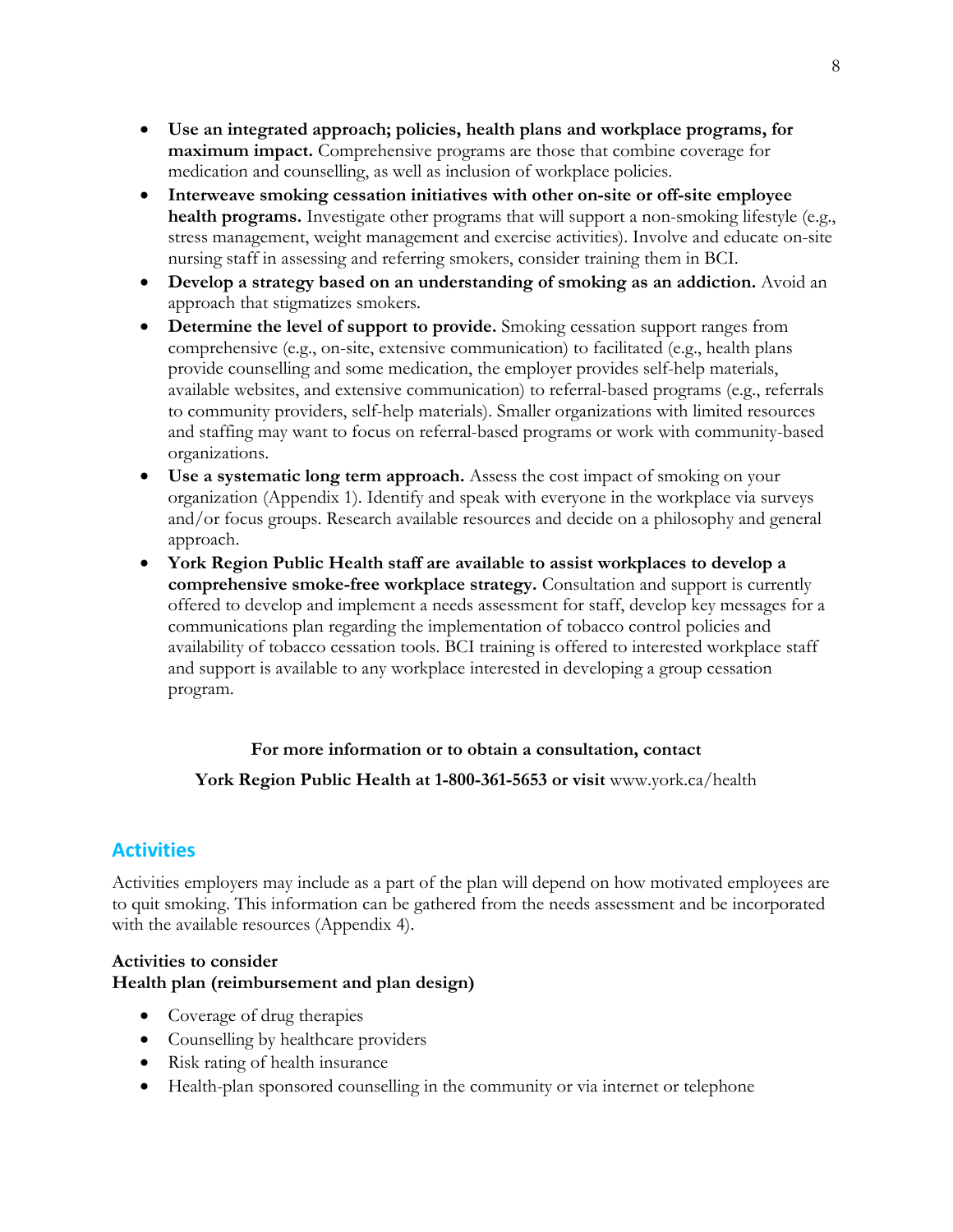- **Use an integrated approach; policies, health plans and workplace programs, for maximum impact.** Comprehensive programs are those that combine coverage for medication and counselling, as well as inclusion of workplace policies.
- **Interweave smoking cessation initiatives with other on-site or off-site employee health programs.** Investigate other programs that will support a non-smoking lifestyle (e.g., stress management, weight management and exercise activities). Involve and educate on-site nursing staff in assessing and referring smokers, consider training them in BCI.
- **Develop a strategy based on an understanding of smoking as an addiction.** Avoid an approach that stigmatizes smokers.
- **Determine the level of support to provide.** Smoking cessation support ranges from comprehensive (e.g., on-site, extensive communication) to facilitated (e.g., health plans provide counselling and some medication, the employer provides self-help materials, available websites, and extensive communication) to referral-based programs (e.g., referrals to community providers, self-help materials). Smaller organizations with limited resources and staffing may want to focus on referral-based programs or work with community-based organizations.
- **Use a systematic long term approach.** Assess the cost impact of smoking on your organization (Appendix 1). Identify and speak with everyone in the workplace via surveys and/or focus groups. Research available resources and decide on a philosophy and general approach.
- **York Region Public Health staff are available to assist workplaces to develop a comprehensive smoke-free workplace strategy.** Consultation and support is currently offered to develop and implement a needs assessment for staff, develop key messages for a communications plan regarding the implementation of tobacco control policies and availability of tobacco cessation tools. BCI training is offered to interested workplace staff and support is available to any workplace interested in developing a group cessation program.

#### **For more information or to obtain a consultation, contact**

**York Region Public Health at 1-800-361-5653 or visit** [www.york.ca/](http://www.york.ca/)health

# <span id="page-8-0"></span>**Activities**

Activities employers may include as a part of the plan will depend on how motivated employees are to quit smoking. This information can be gathered from the needs assessment and be incorporated with the available resources (Appendix 4).

#### **Activities to consider Health plan (reimbursement and plan design)**

- Coverage of drug therapies
- Counselling by healthcare providers
- Risk rating of health insurance
- Health-plan sponsored counselling in the community or via internet or telephone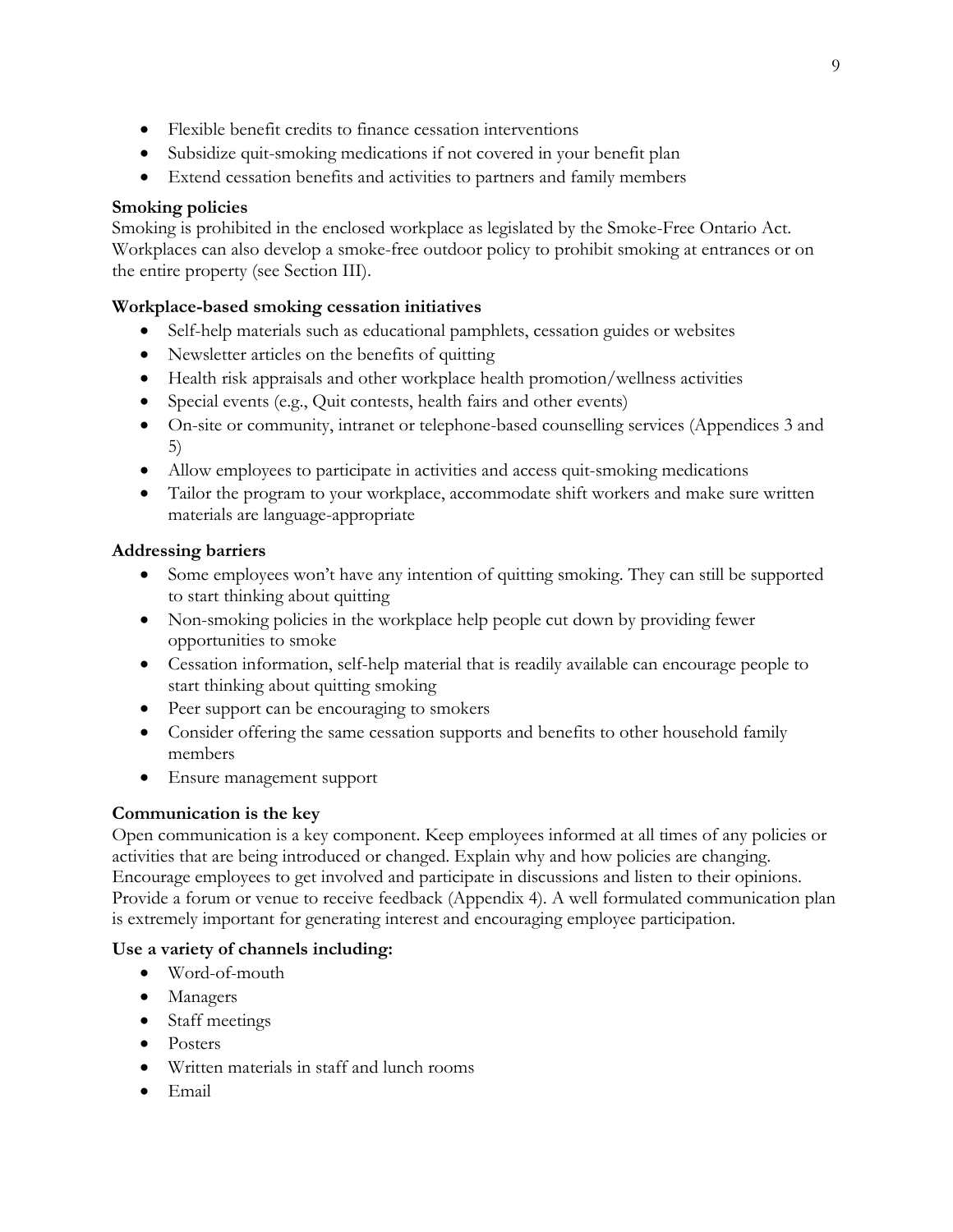- Flexible benefit credits to finance cessation interventions
- Subsidize quit-smoking medications if not covered in your benefit plan
- Extend cessation benefits and activities to partners and family members

#### **Smoking policies**

Smoking is prohibited in the enclosed workplace as legislated by the Smoke-Free Ontario Act. Workplaces can also develop a smoke-free outdoor policy to prohibit smoking at entrances or on the entire property (see Section III).

#### **Workplace-based smoking cessation initiatives**

- Self-help materials such as educational pamphlets, cessation guides or websites
- Newsletter articles on the benefits of quitting
- Health risk appraisals and other workplace health promotion/wellness activities
- Special events (e.g., Quit contests, health fairs and other events)
- On-site or community, intranet or telephone-based counselling services (Appendices 3 and 5)
- Allow employees to participate in activities and access quit-smoking medications
- Tailor the program to your workplace, accommodate shift workers and make sure written materials are language-appropriate

#### **Addressing barriers**

- Some employees won't have any intention of quitting smoking. They can still be supported to start thinking about quitting
- Non-smoking policies in the workplace help people cut down by providing fewer opportunities to smoke
- Cessation information, self-help material that is readily available can encourage people to start thinking about quitting smoking
- Peer support can be encouraging to smokers
- Consider offering the same cessation supports and benefits to other household family members
- Ensure management support

### **Communication is the key**

Open communication is a key component. Keep employees informed at all times of any policies or activities that are being introduced or changed. Explain why and how policies are changing. Encourage employees to get involved and participate in discussions and listen to their opinions. Provide a forum or venue to receive feedback (Appendix 4). A well formulated communication plan is extremely important for generating interest and encouraging employee participation.

#### **Use a variety of channels including:**

- Word-of-mouth
- Managers
- Staff meetings
- Posters
- Written materials in staff and lunch rooms
- Email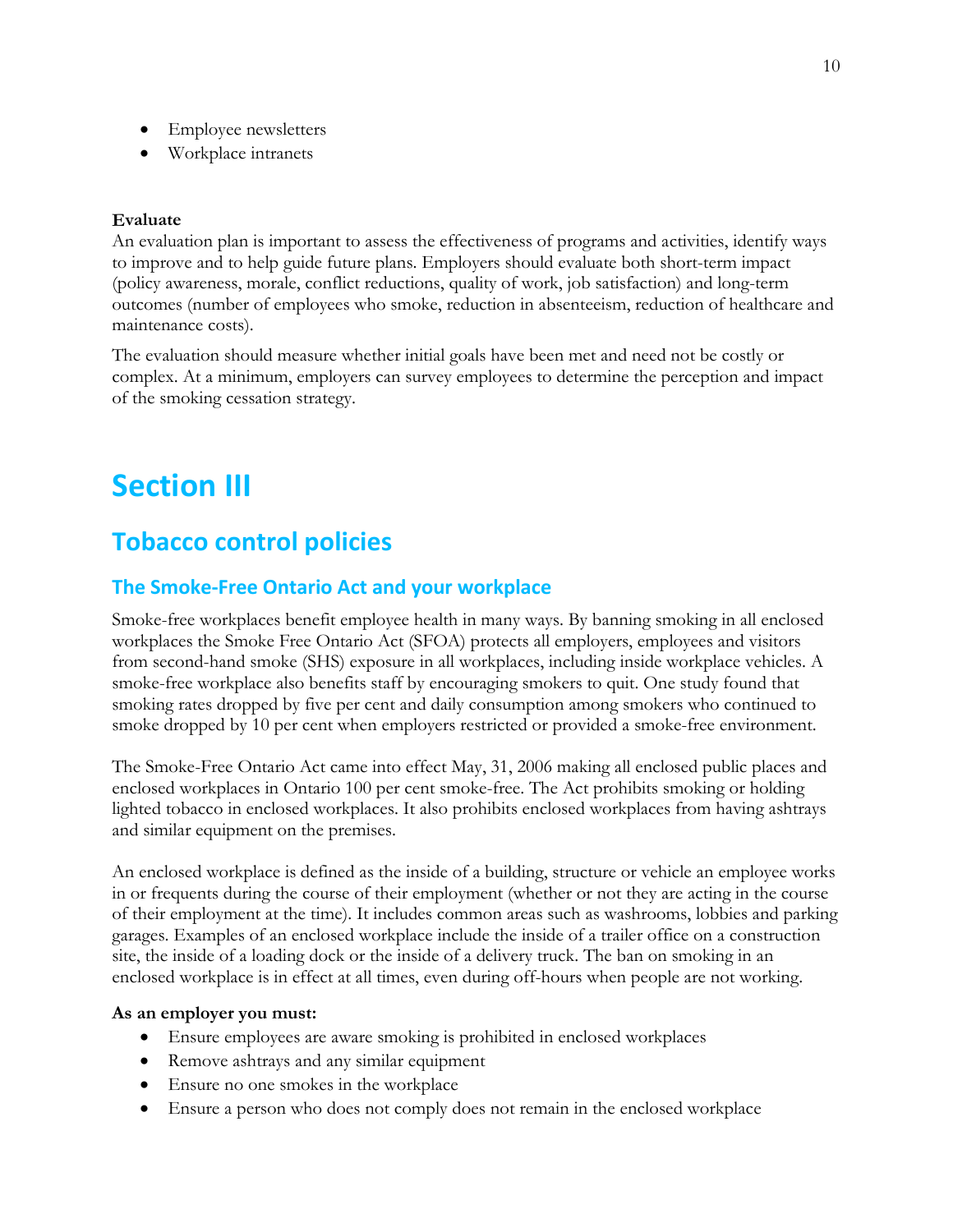- Employee newsletters
- Workplace intranets

#### **Evaluate**

An evaluation plan is important to assess the effectiveness of programs and activities, identify ways to improve and to help guide future plans. Employers should evaluate both short-term impact (policy awareness, morale, conflict reductions, quality of work, job satisfaction) and long-term outcomes (number of employees who smoke, reduction in absenteeism, reduction of healthcare and maintenance costs).

The evaluation should measure whether initial goals have been met and need not be costly or complex. At a minimum, employers can survey employees to determine the perception and impact of the smoking cessation strategy.

# <span id="page-10-0"></span>**Section III**

# <span id="page-10-1"></span>**Tobacco control policies**

#### <span id="page-10-2"></span>**The Smoke-Free Ontario Act and your workplace**

Smoke-free workplaces benefit employee health in many ways. By banning smoking in all enclosed workplaces the Smoke Free Ontario Act (SFOA) protects all employers, employees and visitors from second-hand smoke (SHS) exposure in all workplaces, including inside workplace vehicles. A smoke-free workplace also benefits staff by encouraging smokers to quit. One study found that smoking rates dropped by five per cent and daily consumption among smokers who continued to smoke dropped by 10 per cent when employers restricted or provided a smoke-free environment.

The Smoke-Free Ontario Act came into effect May, 31, 2006 making all enclosed public places and enclosed workplaces in Ontario 100 per cent smoke-free. The Act prohibits smoking or holding lighted tobacco in enclosed workplaces. It also prohibits enclosed workplaces from having ashtrays and similar equipment on the premises.

An enclosed workplace is defined as the inside of a building, structure or vehicle an employee works in or frequents during the course of their employment (whether or not they are acting in the course of their employment at the time). It includes common areas such as washrooms, lobbies and parking garages. Examples of an enclosed workplace include the inside of a trailer office on a construction site, the inside of a loading dock or the inside of a delivery truck. The ban on smoking in an enclosed workplace is in effect at all times, even during off-hours when people are not working.

#### **As an employer you must:**

- Ensure employees are aware smoking is prohibited in enclosed workplaces
- Remove ashtrays and any similar equipment
- Ensure no one smokes in the workplace
- Ensure a person who does not comply does not remain in the enclosed workplace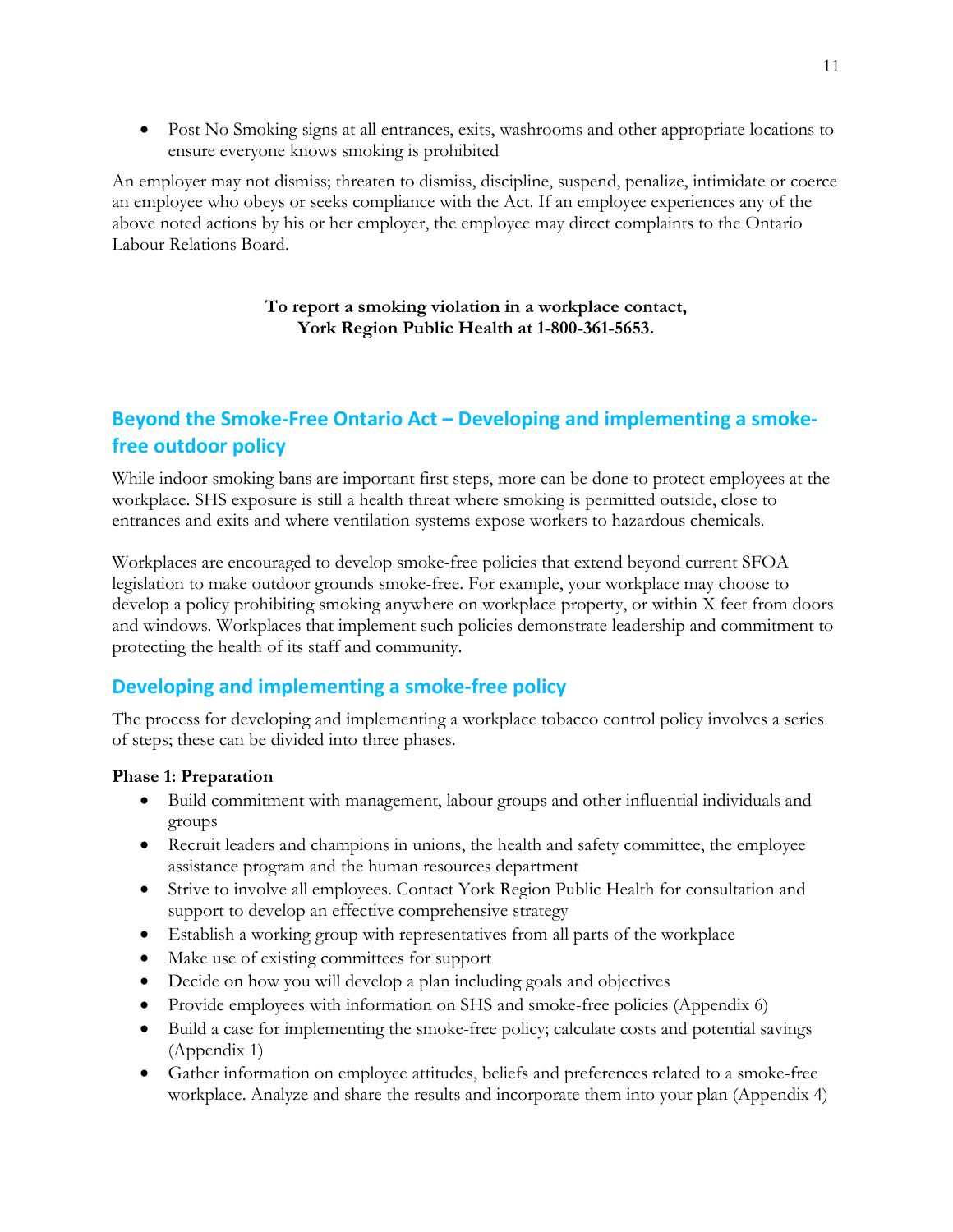• Post No Smoking signs at all entrances, exits, washrooms and other appropriate locations to ensure everyone knows smoking is prohibited

An employer may not dismiss; threaten to dismiss, discipline, suspend, penalize, intimidate or coerce an employee who obeys or seeks compliance with the Act. If an employee experiences any of the above noted actions by his or her employer, the employee may direct complaints to the Ontario Labour Relations Board.

#### **To report a smoking violation in a workplace contact, York Region Public Health at 1-800-361-5653.**

# <span id="page-11-0"></span>**Beyond the Smoke-Free Ontario Act – Developing and implementing a smokefree outdoor policy**

While indoor smoking bans are important first steps, more can be done to protect employees at the workplace. SHS exposure is still a health threat where smoking is permitted outside, close to entrances and exits and where ventilation systems expose workers to hazardous chemicals.

Workplaces are encouraged to develop smoke-free policies that extend beyond current SFOA legislation to make outdoor grounds smoke-free. For example, your workplace may choose to develop a policy prohibiting smoking anywhere on workplace property, or within X feet from doors and windows. Workplaces that implement such policies demonstrate leadership and commitment to protecting the health of its staff and community.

# <span id="page-11-1"></span>**Developing and implementing a smoke-free policy**

The process for developing and implementing a workplace tobacco control policy involves a series of steps; these can be divided into three phases.

#### **Phase 1: Preparation**

- Build commitment with management, labour groups and other influential individuals and groups
- Recruit leaders and champions in unions, the health and safety committee, the employee assistance program and the human resources department
- Strive to involve all employees. Contact York Region Public Health for consultation and support to develop an effective comprehensive strategy
- Establish a working group with representatives from all parts of the workplace
- Make use of existing committees for support
- Decide on how you will develop a plan including goals and objectives
- Provide employees with information on SHS and smoke-free policies (Appendix 6)
- Build a case for implementing the smoke-free policy; calculate costs and potential savings (Appendix 1)
- Gather information on employee attitudes, beliefs and preferences related to a smoke-free workplace. Analyze and share the results and incorporate them into your plan (Appendix 4)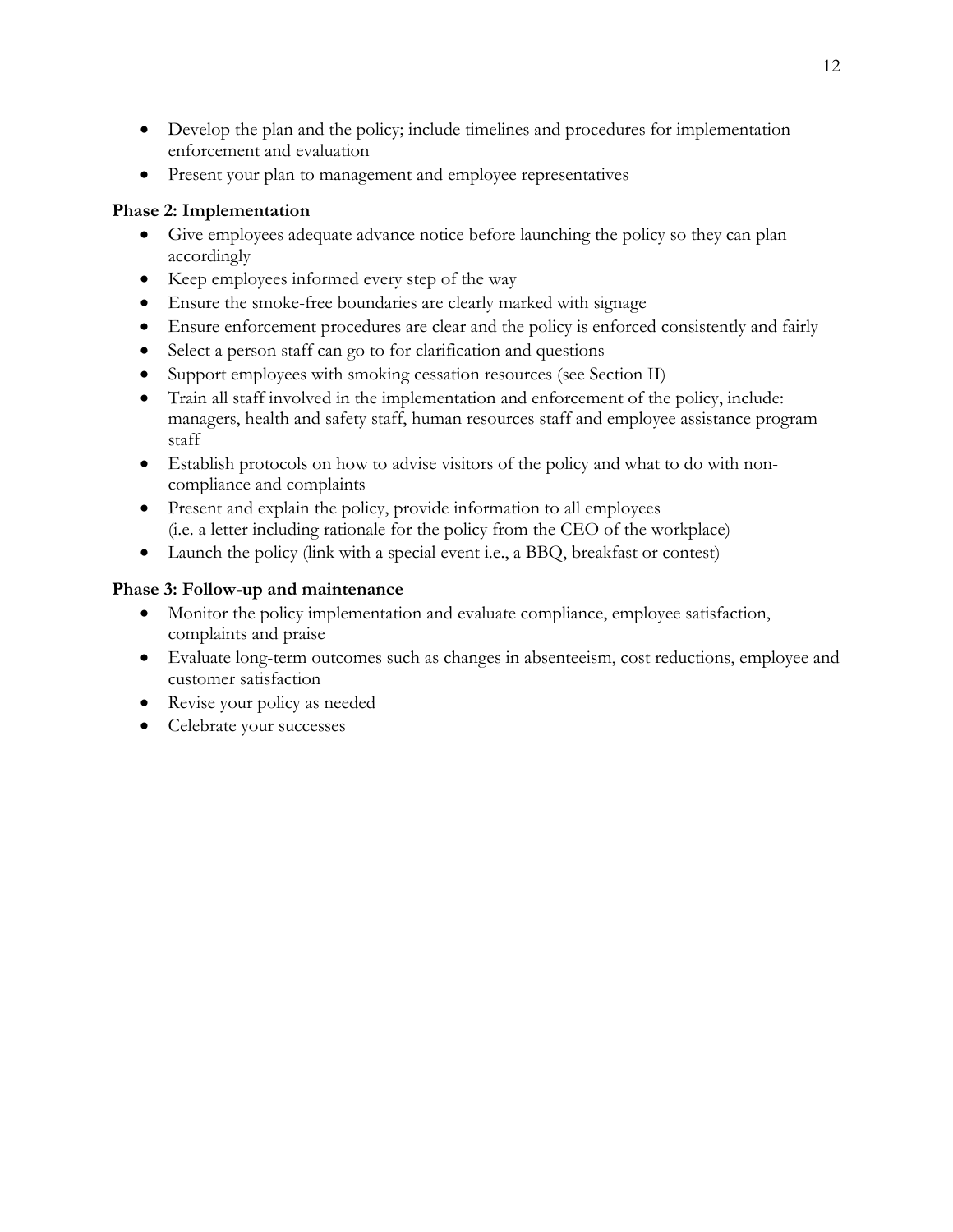- Develop the plan and the policy; include timelines and procedures for implementation enforcement and evaluation
- Present your plan to management and employee representatives

### **Phase 2: Implementation**

- Give employees adequate advance notice before launching the policy so they can plan accordingly
- Keep employees informed every step of the way
- Ensure the smoke-free boundaries are clearly marked with signage
- Ensure enforcement procedures are clear and the policy is enforced consistently and fairly
- Select a person staff can go to for clarification and questions
- Support employees with smoking cessation resources (see Section II)
- Train all staff involved in the implementation and enforcement of the policy, include: managers, health and safety staff, human resources staff and employee assistance program staff
- Establish protocols on how to advise visitors of the policy and what to do with noncompliance and complaints
- Present and explain the policy, provide information to all employees (i.e. a letter including rationale for the policy from the CEO of the workplace)
- Launch the policy (link with a special event i.e., a BBQ, breakfast or contest)

## **Phase 3: Follow-up and maintenance**

- Monitor the policy implementation and evaluate compliance, employee satisfaction, complaints and praise
- Evaluate long-term outcomes such as changes in absenteeism, cost reductions, employee and customer satisfaction
- Revise your policy as needed
- Celebrate your successes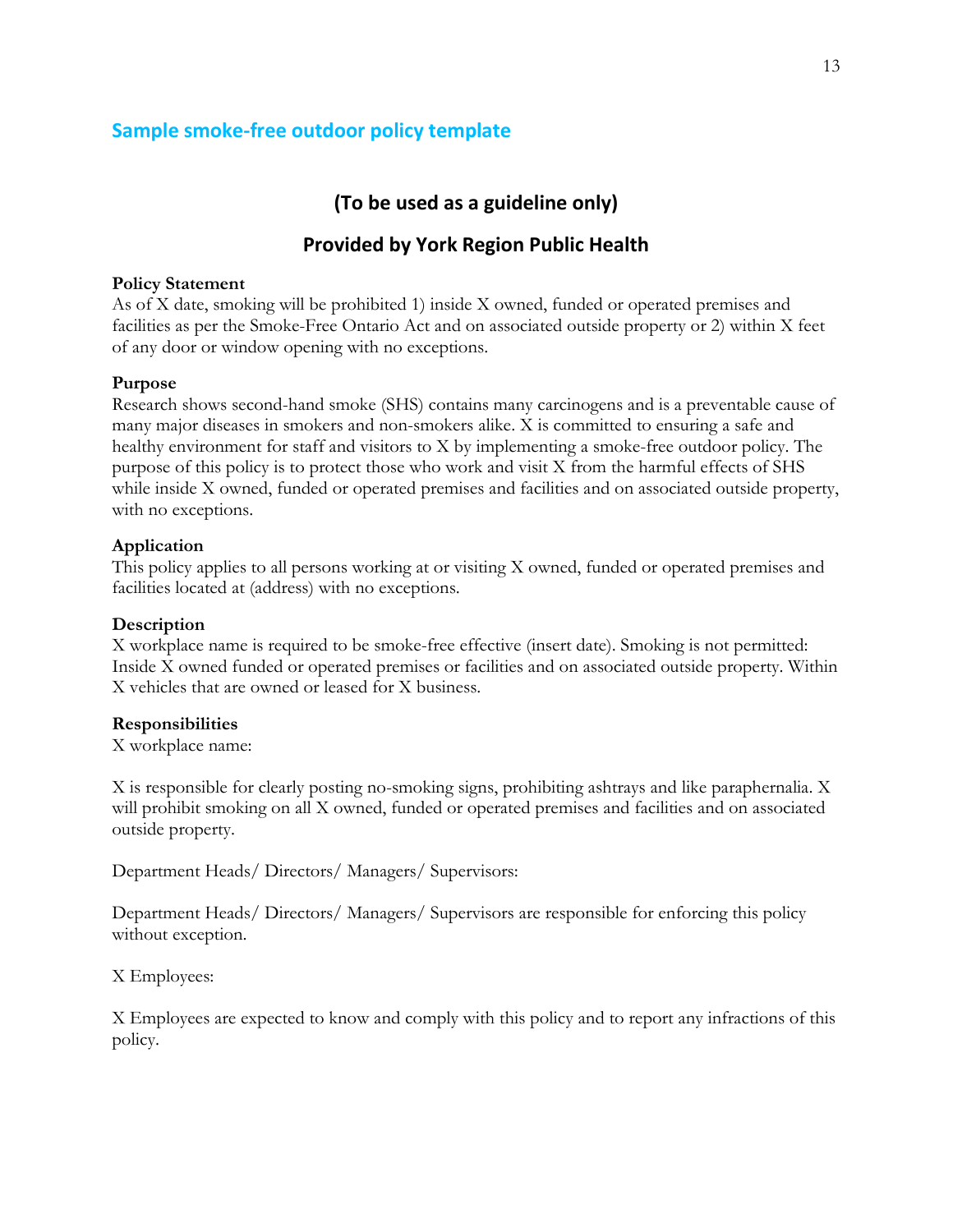# <span id="page-13-0"></span>**Sample smoke-free outdoor policy template**

# **(To be used as a guideline only)**

# **Provided by York Region Public Health**

#### **Policy Statement**

As of X date, smoking will be prohibited 1) inside X owned, funded or operated premises and facilities as per the Smoke-Free Ontario Act and on associated outside property or 2) within X feet of any door or window opening with no exceptions.

#### **Purpose**

Research shows second-hand smoke (SHS) contains many carcinogens and is a preventable cause of many major diseases in smokers and non-smokers alike. X is committed to ensuring a safe and healthy environment for staff and visitors to X by implementing a smoke-free outdoor policy. The purpose of this policy is to protect those who work and visit X from the harmful effects of SHS while inside X owned, funded or operated premises and facilities and on associated outside property, with no exceptions.

#### **Application**

This policy applies to all persons working at or visiting X owned, funded or operated premises and facilities located at (address) with no exceptions.

#### **Description**

X workplace name is required to be smoke-free effective (insert date). Smoking is not permitted: Inside X owned funded or operated premises or facilities and on associated outside property. Within X vehicles that are owned or leased for X business.

#### **Responsibilities**

X workplace name:

X is responsible for clearly posting no-smoking signs, prohibiting ashtrays and like paraphernalia. X will prohibit smoking on all X owned, funded or operated premises and facilities and on associated outside property.

Department Heads/ Directors/ Managers/ Supervisors:

Department Heads/ Directors/ Managers/ Supervisors are responsible for enforcing this policy without exception.

X Employees:

X Employees are expected to know and comply with this policy and to report any infractions of this policy.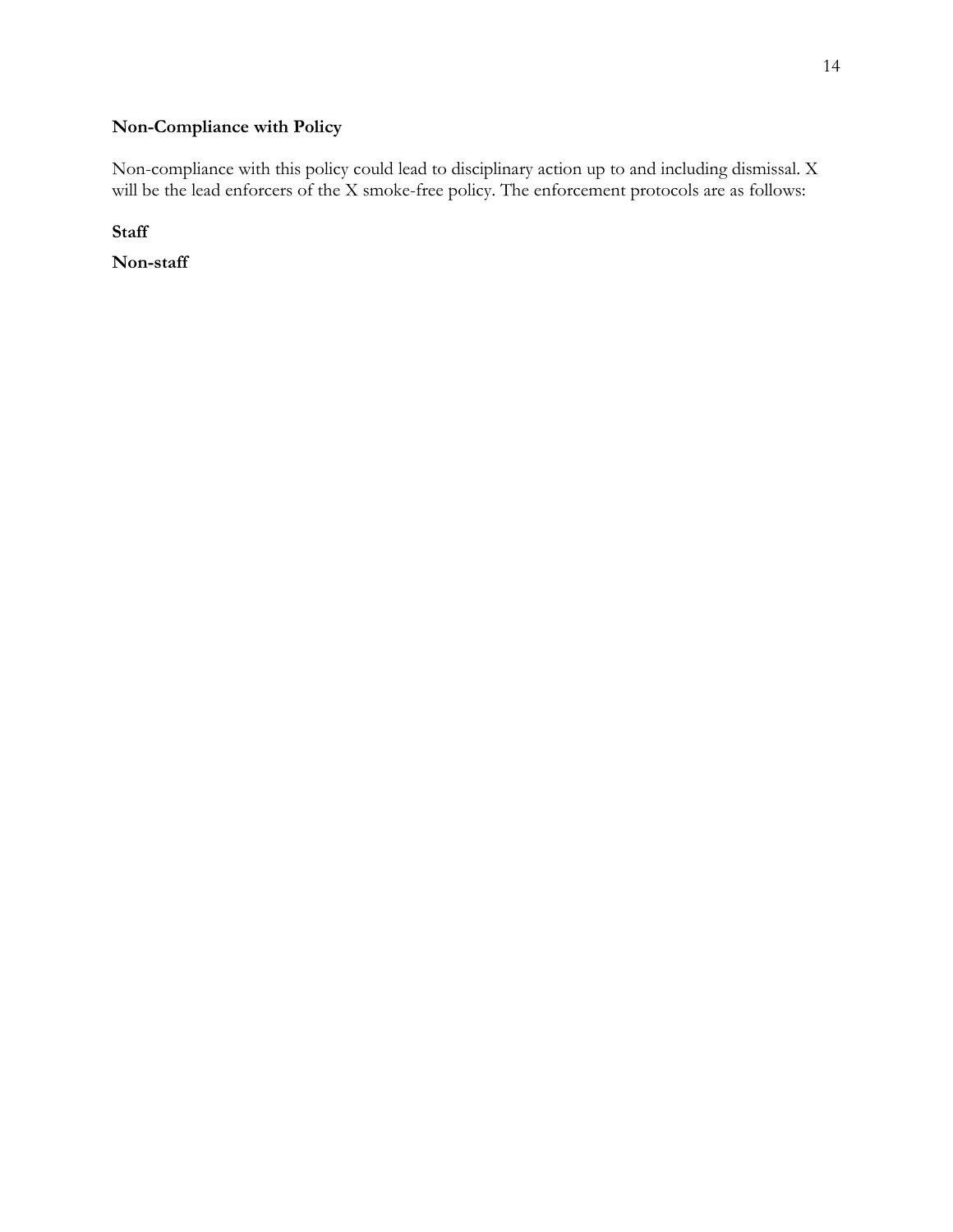# **Non-Compliance with Policy**

Non-compliance with this policy could lead to disciplinary action up to and including dismissal. X will be the lead enforcers of the X smoke-free policy. The enforcement protocols are as follows:

**Staff** 

**Non-staff**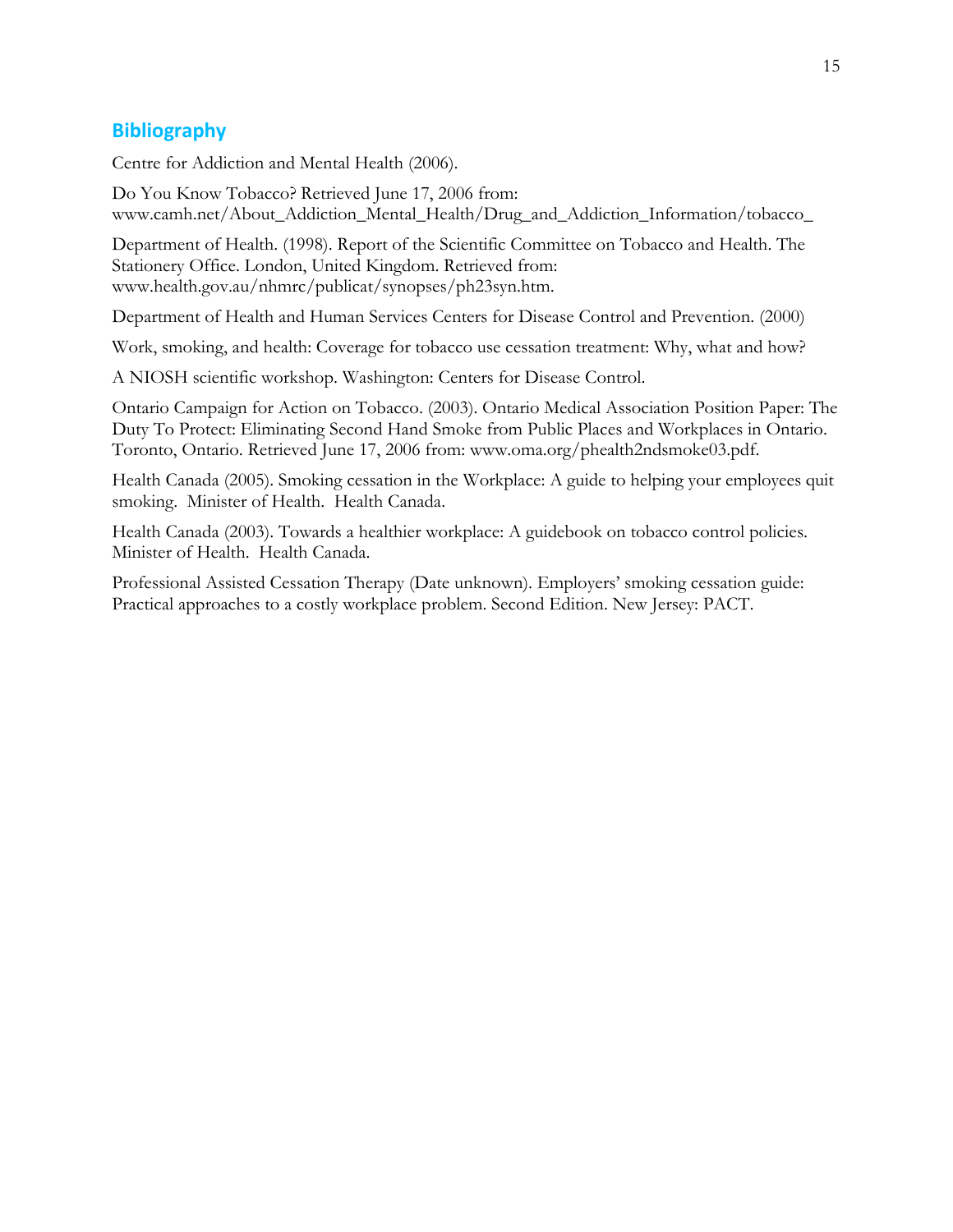# <span id="page-15-0"></span>**Bibliography**

Centre for Addiction and Mental Health (2006).

Do You Know Tobacco? Retrieved June 17, 2006 from: www.camh.net/About\_Addiction\_Mental\_Health/Drug\_and\_Addiction\_Information/tobacco\_

Department of Health. (1998). Report of the Scientific Committee on Tobacco and Health. The Stationery Office. London, United Kingdom. Retrieved from: www.health.gov.au/nhmrc/publicat/synopses/ph23syn.htm.

Department of Health and Human Services Centers for Disease Control and Prevention. (2000)

Work, smoking, and health: Coverage for tobacco use cessation treatment: Why, what and how?

A NIOSH scientific workshop. Washington: Centers for Disease Control.

Ontario Campaign for Action on Tobacco. (2003). Ontario Medical Association Position Paper: The Duty To Protect: Eliminating Second Hand Smoke from Public Places and Workplaces in Ontario. Toronto, Ontario. Retrieved June 17, 2006 from: www.oma.org/phealth2ndsmoke03.pdf.

Health Canada (2005). Smoking cessation in the Workplace: A guide to helping your employees quit smoking. Minister of Health. Health Canada.

Health Canada (2003). Towards a healthier workplace: A guidebook on tobacco control policies. Minister of Health. Health Canada.

<span id="page-15-1"></span>Professional Assisted Cessation Therapy (Date unknown). Employers' smoking cessation guide: Practical approaches to a costly workplace problem. Second Edition. New Jersey: PACT.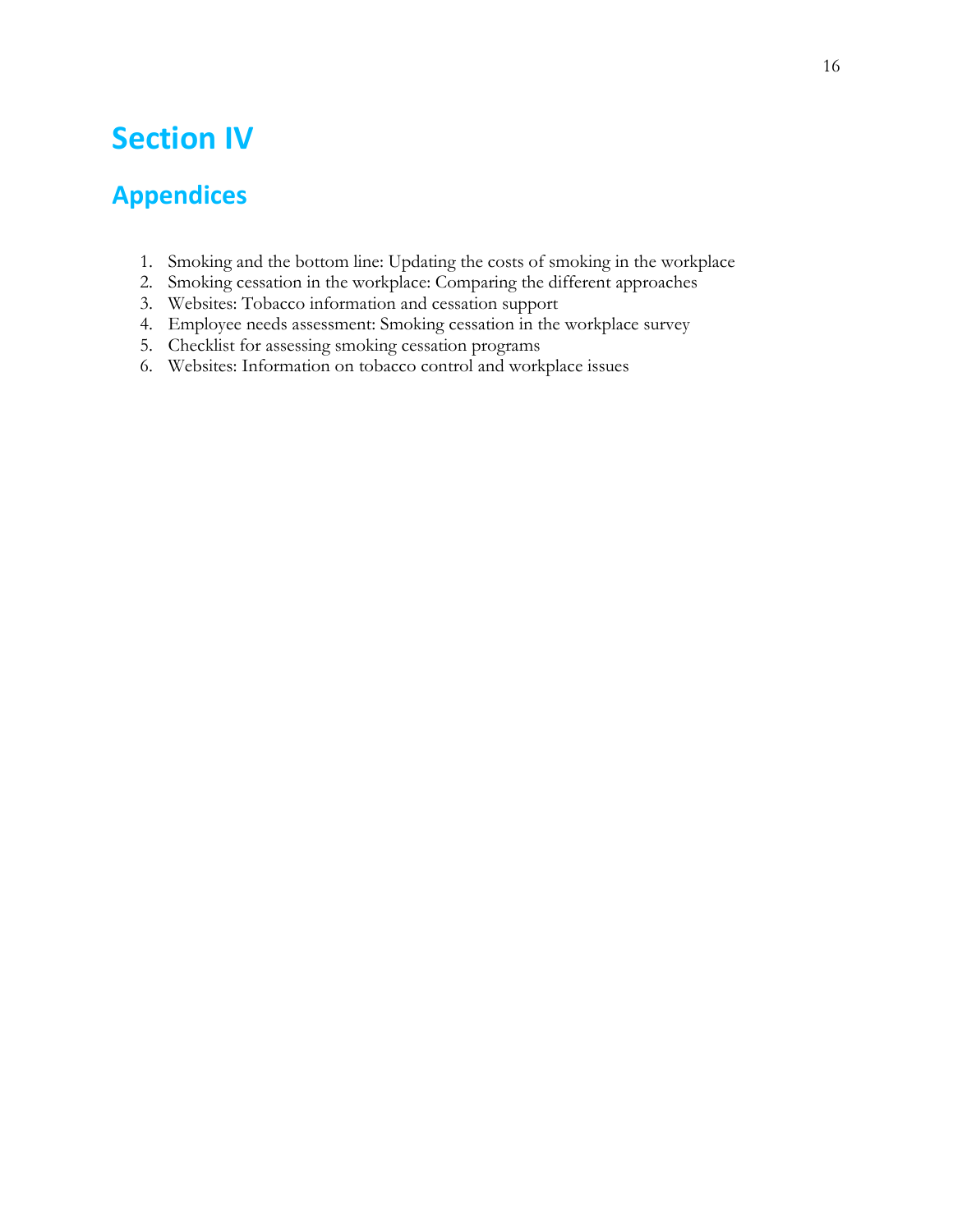# **Section IV**

# <span id="page-16-0"></span>**Appendices**

- 1. Smoking and the bottom line: Updating the costs of smoking in the workplace
- 2. Smoking cessation in the workplace: Comparing the different approaches
- 3. Websites: Tobacco information and cessation support
- 4. Employee needs assessment: Smoking cessation in the workplace survey
- 5. Checklist for assessing smoking cessation programs
- 6. Websites: Information on tobacco control and workplace issues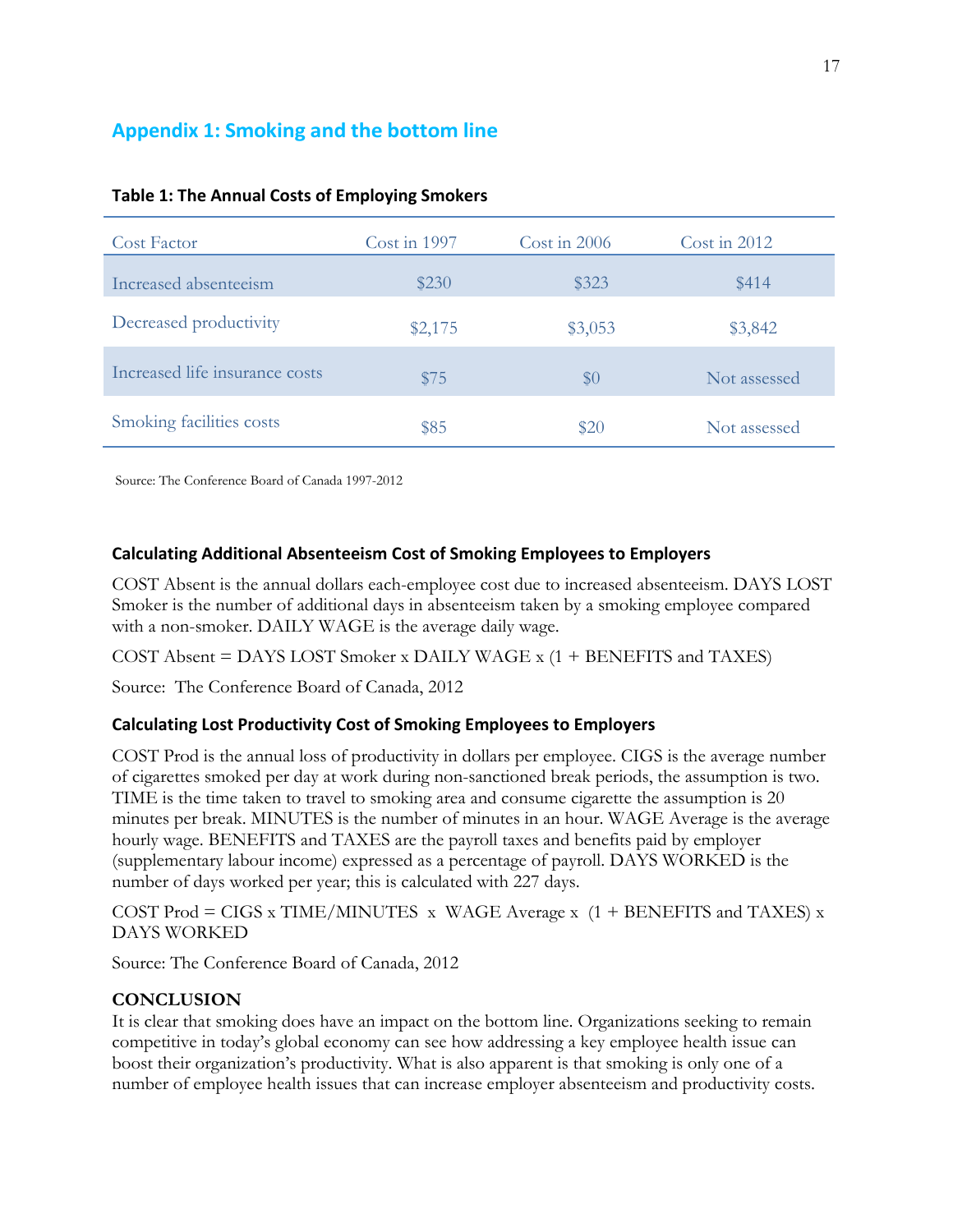# <span id="page-17-0"></span>**Appendix 1: Smoking and the bottom line**

| Cost Factor                    | Cost in $1997$ | Cost in $2006$ | Cost in $2012$ |
|--------------------------------|----------------|----------------|----------------|
| Increased absenteeism          | \$230          | \$323          | \$414          |
| Decreased productivity         | \$2,175        | \$3,053        | \$3,842        |
| Increased life insurance costs | \$75           | $\$0$          | Not assessed   |
| Smoking facilities costs       | \$85           | \$20           | Not assessed   |

#### **Table 1: The Annual Costs of Employing Smokers**

Source: The Conference Board of Canada 1997-2012

#### **Calculating Additional Absenteeism Cost of Smoking Employees to Employers**

COST Absent is the annual dollars each-employee cost due to increased absenteeism. DAYS LOST Smoker is the number of additional days in absenteeism taken by a smoking employee compared with a non-smoker. DAILY WAGE is the average daily wage.

COST Absent = DAYS LOST Smoker x DAILY WAGE x (1 + BENEFITS and TAXES)

Source: The Conference Board of Canada, 2012

#### **Calculating Lost Productivity Cost of Smoking Employees to Employers**

COST Prod is the annual loss of productivity in dollars per employee. CIGS is the average number of cigarettes smoked per day at work during non-sanctioned break periods, the assumption is two. TIME is the time taken to travel to smoking area and consume cigarette the assumption is 20 minutes per break. MINUTES is the number of minutes in an hour. WAGE Average is the average hourly wage. BENEFITS and TAXES are the payroll taxes and benefits paid by employer (supplementary labour income) expressed as a percentage of payroll. DAYS WORKED is the number of days worked per year; this is calculated with 227 days.

COST Prod = CIGS x TIME/MINUTES  $x$  WAGE Average  $x$  (1 + BENEFITS and TAXES)  $x$ DAYS WORKED

Source: The Conference Board of Canada, 2012

#### **CONCLUSION**

It is clear that smoking does have an impact on the bottom line. Organizations seeking to remain competitive in today's global economy can see how addressing a key employee health issue can boost their organization's productivity. What is also apparent is that smoking is only one of a number of employee health issues that can increase employer absenteeism and productivity costs.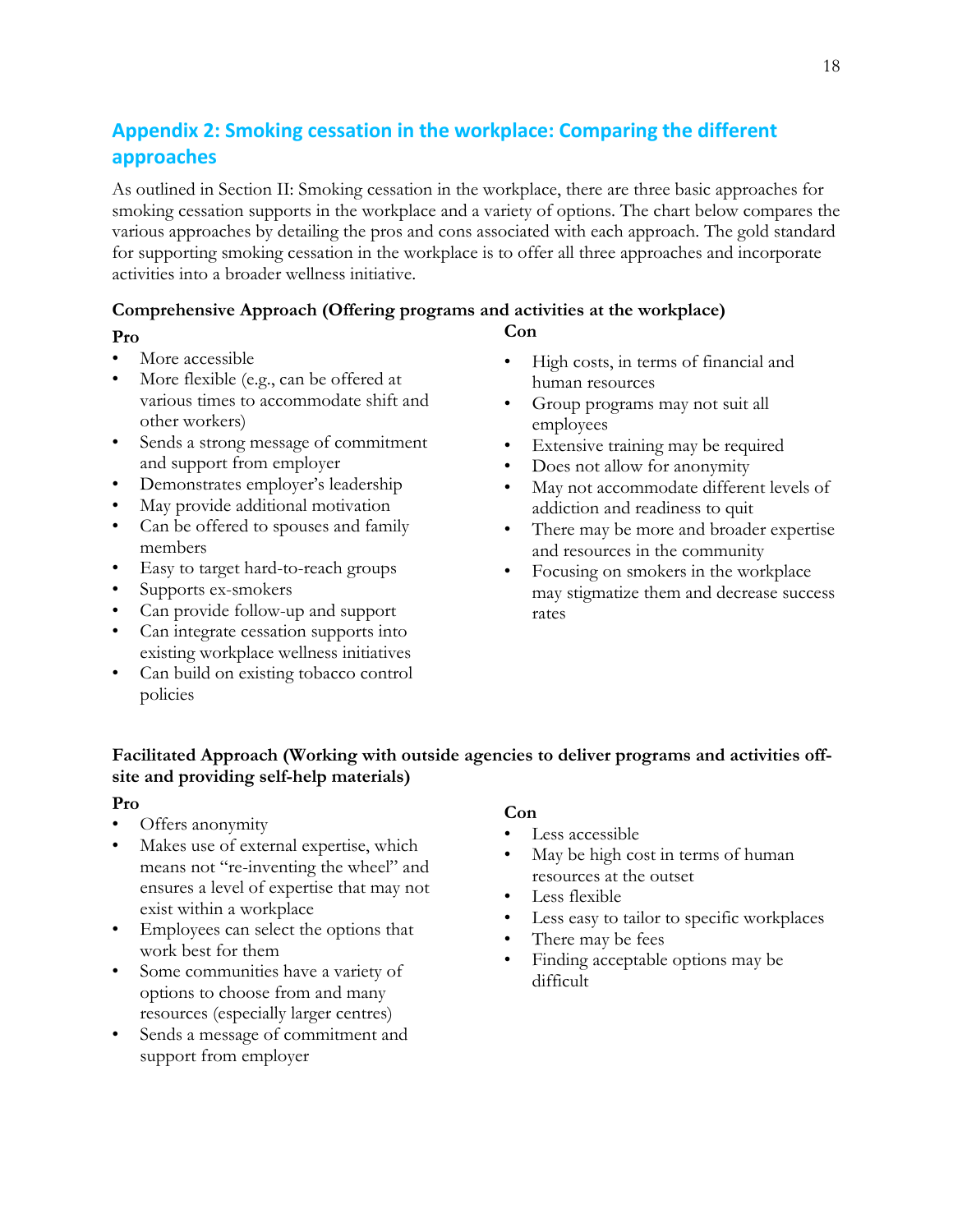# <span id="page-18-0"></span>**Appendix 2: Smoking cessation in the workplace: Comparing the different approaches**

As outlined in Section II: Smoking cessation in the workplace, there are three basic approaches for smoking cessation supports in the workplace and a variety of options. The chart below compares the various approaches by detailing the pros and cons associated with each approach. The gold standard for supporting smoking cessation in the workplace is to offer all three approaches and incorporate activities into a broader wellness initiative.

**Con**

#### **Comprehensive Approach (Offering programs and activities at the workplace)**

#### **Pro**

- More accessible
- More flexible (e.g., can be offered at various times to accommodate shift and other workers)
- Sends a strong message of commitment and support from employer
- Demonstrates employer's leadership
- May provide additional motivation
- Can be offered to spouses and family members
- Easy to target hard-to-reach groups
- Supports ex-smokers
- Can provide follow-up and support
- Can integrate cessation supports into existing workplace wellness initiatives
- Can build on existing tobacco control policies
- High costs, in terms of financial and human resources
- Group programs may not suit all employees
- Extensive training may be required
- Does not allow for anonymity
- May not accommodate different levels of addiction and readiness to quit
- There may be more and broader expertise and resources in the community
- Focusing on smokers in the workplace may stigmatize them and decrease success rates

#### **Facilitated Approach (Working with outside agencies to deliver programs and activities offsite and providing self-help materials)**

#### **Pro**

- Offers anonymity
- Makes use of external expertise, which means not "re-inventing the wheel" and ensures a level of expertise that may not exist within a workplace
- Employees can select the options that work best for them
- Some communities have a variety of options to choose from and many resources (especially larger centres)
- Sends a message of commitment and support from employer

#### **Con**

- Less accessible
- May be high cost in terms of human resources at the outset
- Less flexible
- Less easy to tailor to specific workplaces
- There may be fees
- Finding acceptable options may be difficult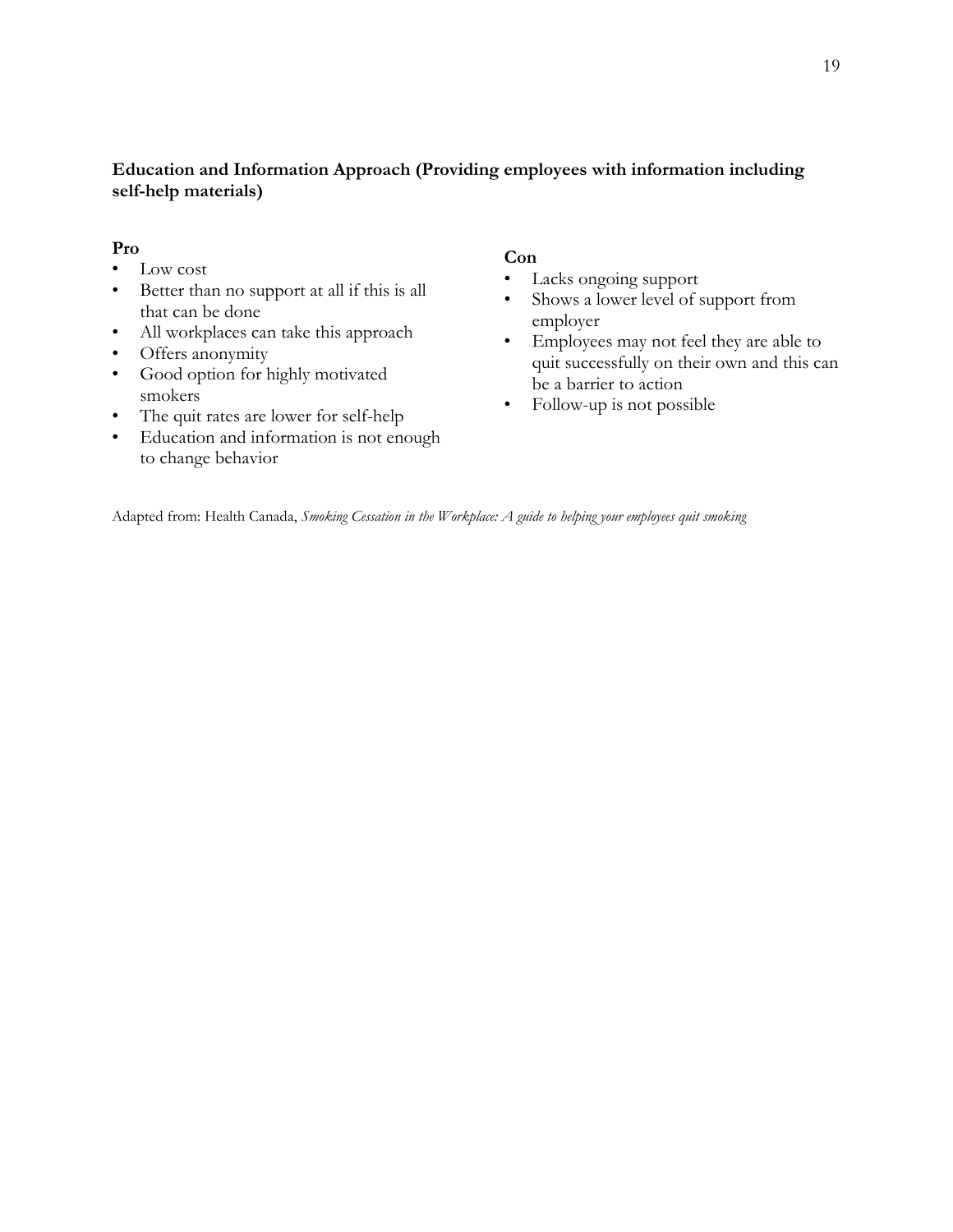#### **Education and Information Approach (Providing employees with information including self-help materials)**

#### **Pro**

- Low cost
- Better than no support at all if this is all that can be done
- All workplaces can take this approach
- Offers anonymity
- Good option for highly motivated smokers
- The quit rates are lower for self-help
- Education and information is not enough to change behavior

#### **Con**

- Lacks ongoing support
- Shows a lower level of support from employer
- Employees may not feel they are able to quit successfully on their own and this can be a barrier to action
- Follow-up is not possible

Adapted from: Health Canada, *Smoking Cessation in the Workplace: A guide to helping your employees quit smoking*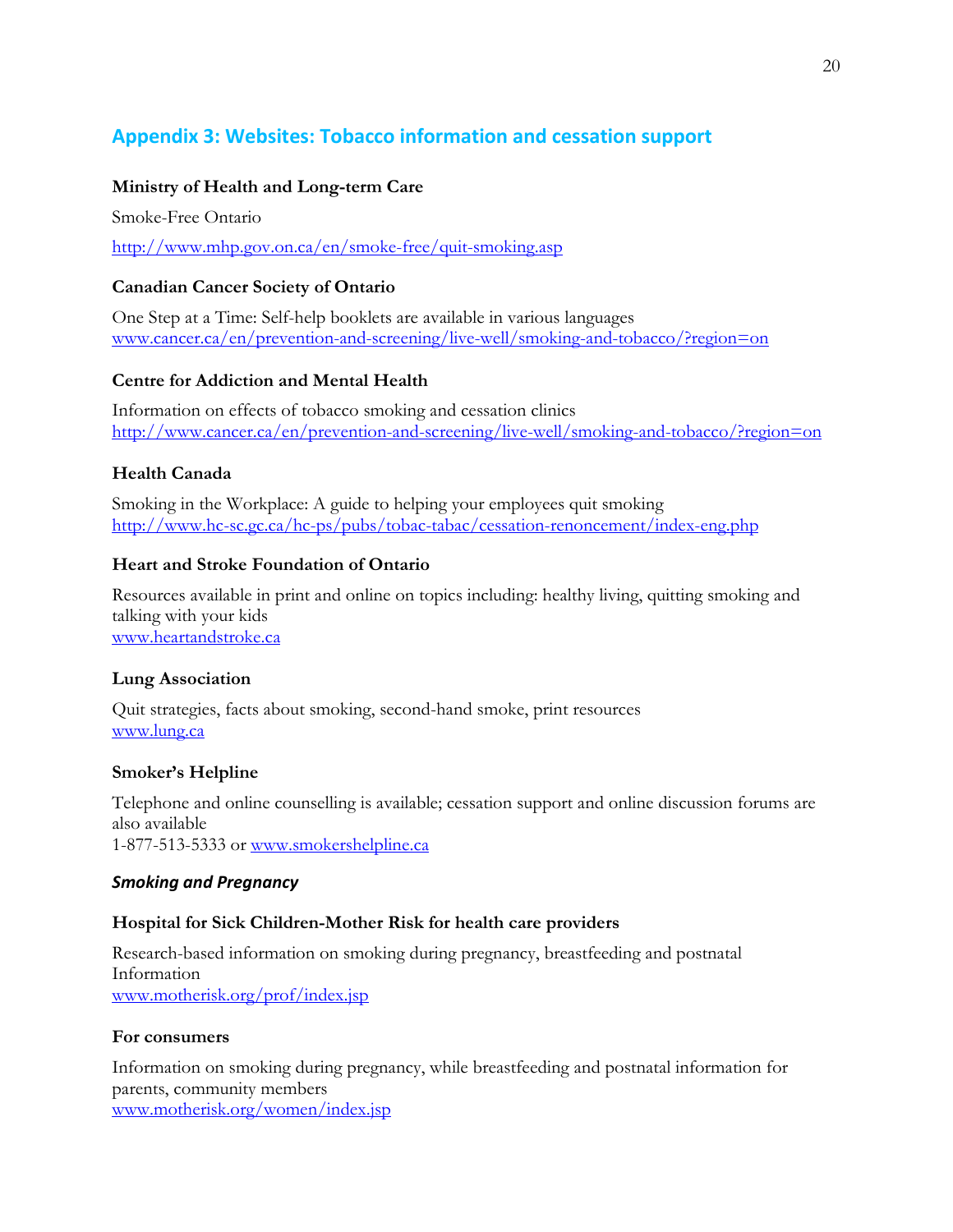# <span id="page-20-0"></span>**Appendix 3: Websites: Tobacco information and cessation support**

#### **Ministry of Health and Long-term Care**

Smoke-Free Ontario

<http://www.mhp.gov.on.ca/en/smoke-free/quit-smoking.asp>

#### **Canadian Cancer Society of Ontario**

One Step at a Time: Self-help booklets are available in various languages [www.cancer.ca/en/prevention-and-screening/live-well/smoking-and-tobacco/?region=on](http://www.cancer.ca/en/prevention-and-screening/live-well/smoking-and-tobacco/?region=on)

#### **Centre for Addiction and Mental Health**

Information on effects of tobacco smoking and cessation clinics <http://www.cancer.ca/en/prevention-and-screening/live-well/smoking-and-tobacco/?region=on>

#### **Health Canada**

Smoking in the Workplace: A guide to helping your employees quit smoking <http://www.hc-sc.gc.ca/hc-ps/pubs/tobac-tabac/cessation-renoncement/index-eng.php>

#### **Heart and Stroke Foundation of Ontario**

Resources available in print and online on topics including: healthy living, quitting smoking and talking with your kids [www.heartandstroke.ca](http://www.heartandstroke.ca/)

#### **Lung Association**

Quit strategies, facts about smoking, second-hand smoke, print resources [www.lung.ca](http://www.lung.ca/)

#### **Smoker's Helpline**

Telephone and online counselling is available; cessation support and online discussion forums are also available 1-877-513-5333 or [www.smokershelpline.ca](http://www.smokershelpline.ca/)

#### *Smoking and Pregnancy*

#### **Hospital for Sick Children-Mother Risk for health care providers**

Research-based information on smoking during pregnancy, breastfeeding and postnatal Information [www.motherisk.org/prof/index.jsp](http://www.motherisk.org/prof/index.jsp)

#### **For consumers**

Information on smoking during pregnancy, while breastfeeding and postnatal information for parents, community members [www.motherisk.org/women/index.jsp](http://www.motherisk.org/women/index.jsp)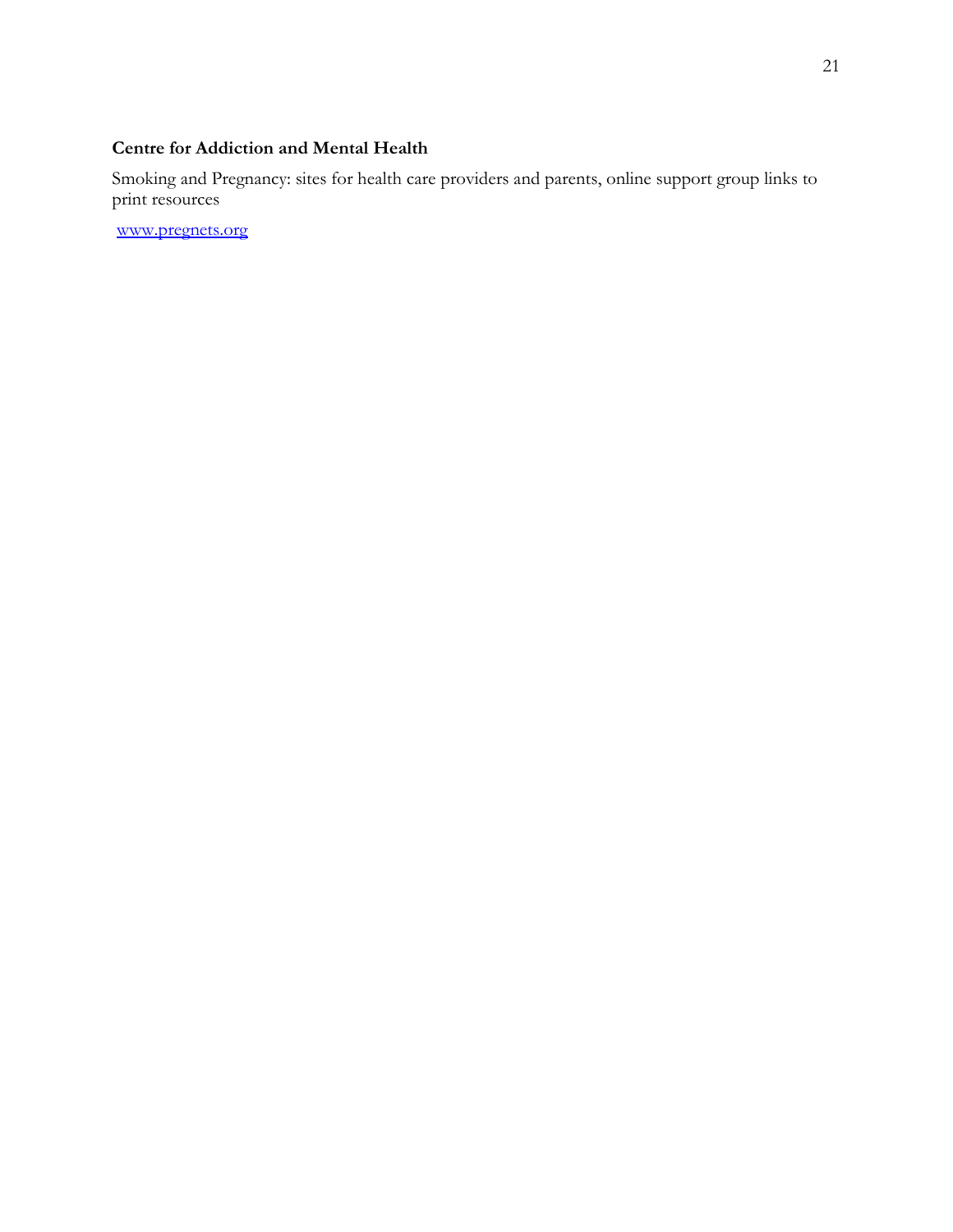# **Centre for Addiction and Mental Health**

Smoking and Pregnancy: sites for health care providers and parents, online support group links to print resources

[www.pregnets.org](http://www.pregnets.org/)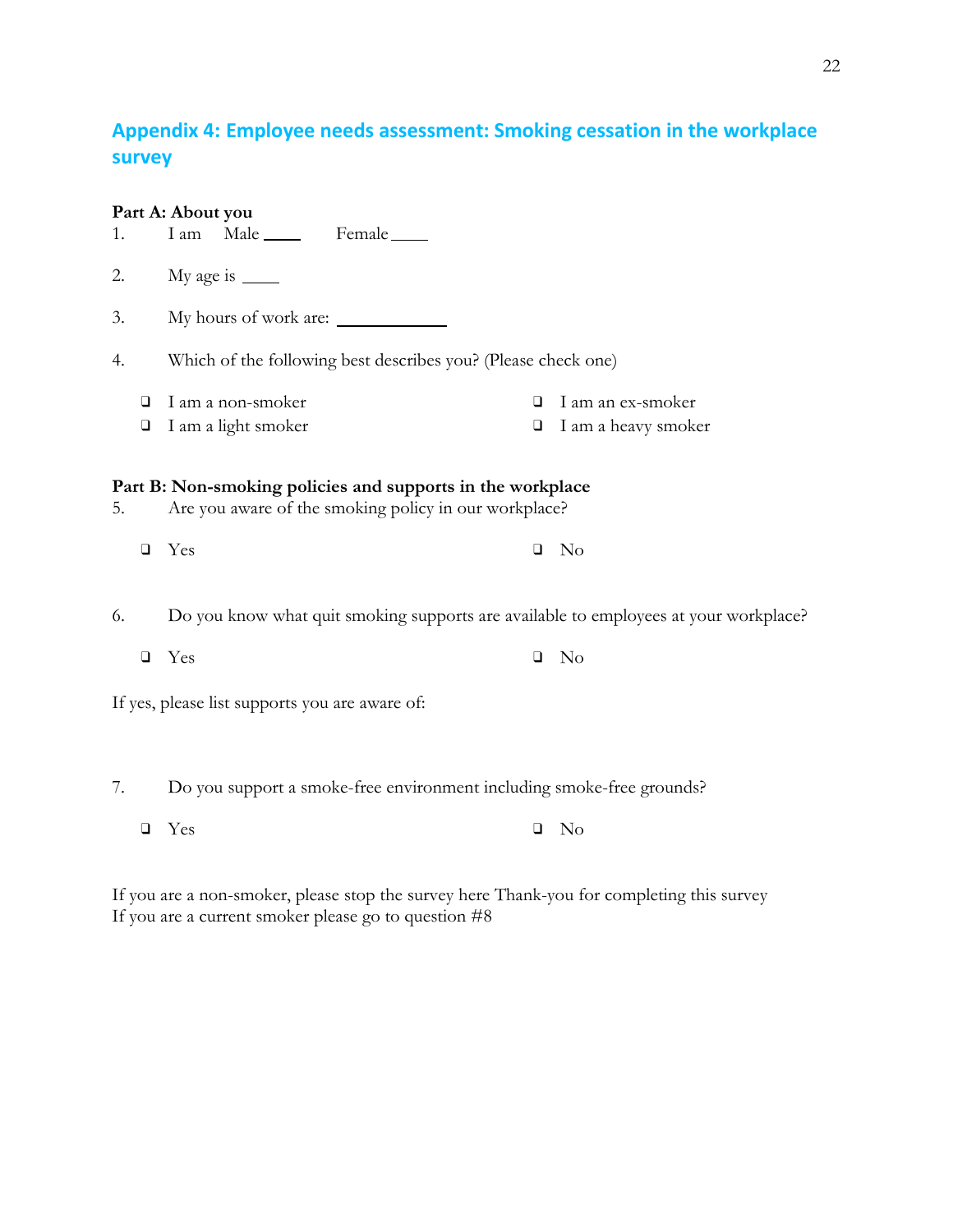# <span id="page-22-0"></span>**Appendix 4: Employee needs assessment: Smoking cessation in the workplace survey**

|    |        | Part A: About you                                                                                                          |        |                     |
|----|--------|----------------------------------------------------------------------------------------------------------------------------|--------|---------------------|
| 1. |        | I am Male Female                                                                                                           |        |                     |
| 2. |        | My age is $\_\_$                                                                                                           |        |                     |
| 3. |        | My hours of work are:                                                                                                      |        |                     |
| 4. |        | Which of the following best describes you? (Please check one)                                                              |        |                     |
|    | $\Box$ | I am a non-smoker                                                                                                          | □      | I am an ex-smoker   |
|    | $\Box$ | I am a light smoker                                                                                                        | $\Box$ | I am a heavy smoker |
| 5. | $\Box$ | Part B: Non-smoking policies and supports in the workplace<br>Are you aware of the smoking policy in our workplace?<br>Yes | $\Box$ | - No                |
| 6. |        | Do you know what quit smoking supports are available to employees at your workplace?                                       |        |                     |
|    | $\Box$ | Yes                                                                                                                        | $\Box$ | N <sub>o</sub>      |
|    |        | If yes, please list supports you are aware of:                                                                             |        |                     |
|    |        |                                                                                                                            |        |                     |
| 7. |        | Do you support a smoke-free environment including smoke-free grounds?                                                      |        |                     |
|    | $\Box$ | Yes                                                                                                                        | $\Box$ | N <sub>o</sub>      |

If you are a non-smoker, please stop the survey here Thank-you for completing this survey If you are a current smoker please go to question #8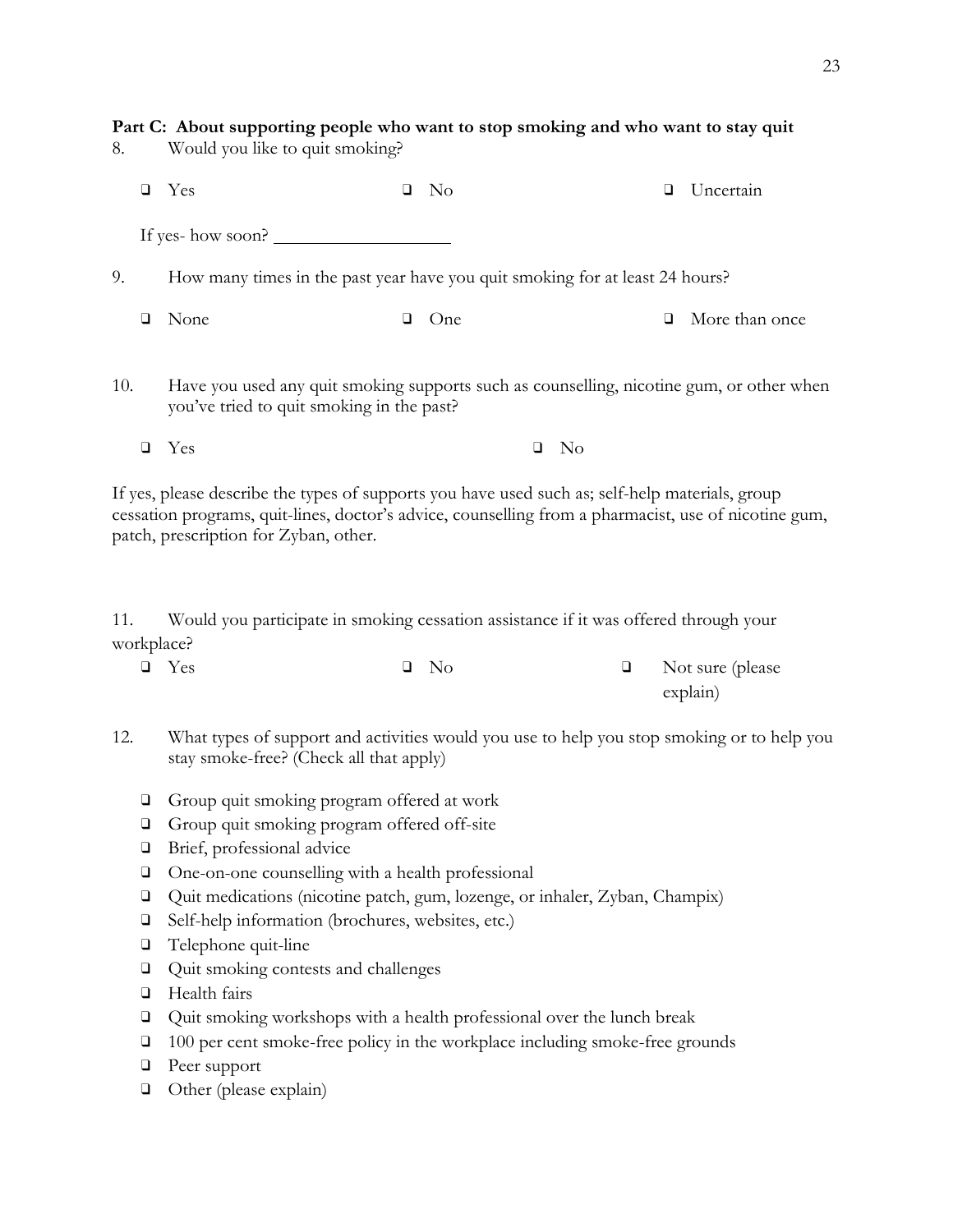| Part C: About supporting people who want to stop smoking and who want to stay quit<br>Would you like to quit smoking?<br>8. |                                            |                                                                                                                                       |   |                |  |    |   |                |
|-----------------------------------------------------------------------------------------------------------------------------|--------------------------------------------|---------------------------------------------------------------------------------------------------------------------------------------|---|----------------|--|----|---|----------------|
|                                                                                                                             | o                                          | Yes                                                                                                                                   |   | N <sub>o</sub> |  |    | ❏ | Uncertain      |
|                                                                                                                             | If yes- how soon? $\overline{\phantom{a}}$ |                                                                                                                                       |   |                |  |    |   |                |
| 9.                                                                                                                          |                                            | How many times in the past year have you quit smoking for at least 24 hours?                                                          |   |                |  |    |   |                |
|                                                                                                                             | □                                          | None                                                                                                                                  | ⊔ | One            |  |    | u | More than once |
| 10.                                                                                                                         |                                            | Have you used any quit smoking supports such as counselling, nicotine gum, or other when<br>you've tried to quit smoking in the past? |   |                |  |    |   |                |
|                                                                                                                             | ⊔                                          | Yes                                                                                                                                   |   |                |  | No |   |                |

If yes, please describe the types of supports you have used such as; self-help materials, group cessation programs, quit-lines, doctor's advice, counselling from a pharmacist, use of nicotine gum, patch, prescription for Zyban, other.

11. Would you participate in smoking cessation assistance if it was offered through your workplace?

| $\Box$ Yes | $\Box$ No | $\Box$ Not sure (please |
|------------|-----------|-------------------------|
|            |           | explain)                |

- 12. What types of support and activities would you use to help you stop smoking or to help you stay smoke-free? (Check all that apply)
	- ❑ Group quit smoking program offered at work
	- ❑ Group quit smoking program offered off-site
	- ❑ Brief, professional advice
	- ❑ One-on-one counselling with a health professional
	- ❑ Quit medications (nicotine patch, gum, lozenge, or inhaler, Zyban, Champix)
	- ❑ Self-help information (brochures, websites, etc.)
	- ❑ Telephone quit-line
	- ❑ Quit smoking contests and challenges
	- ❑ Health fairs
	- ❑ Quit smoking workshops with a health professional over the lunch break
	- ❑ 100 per cent smoke-free policy in the workplace including smoke-free grounds
	- ❑ Peer support
	- ❑ Other (please explain)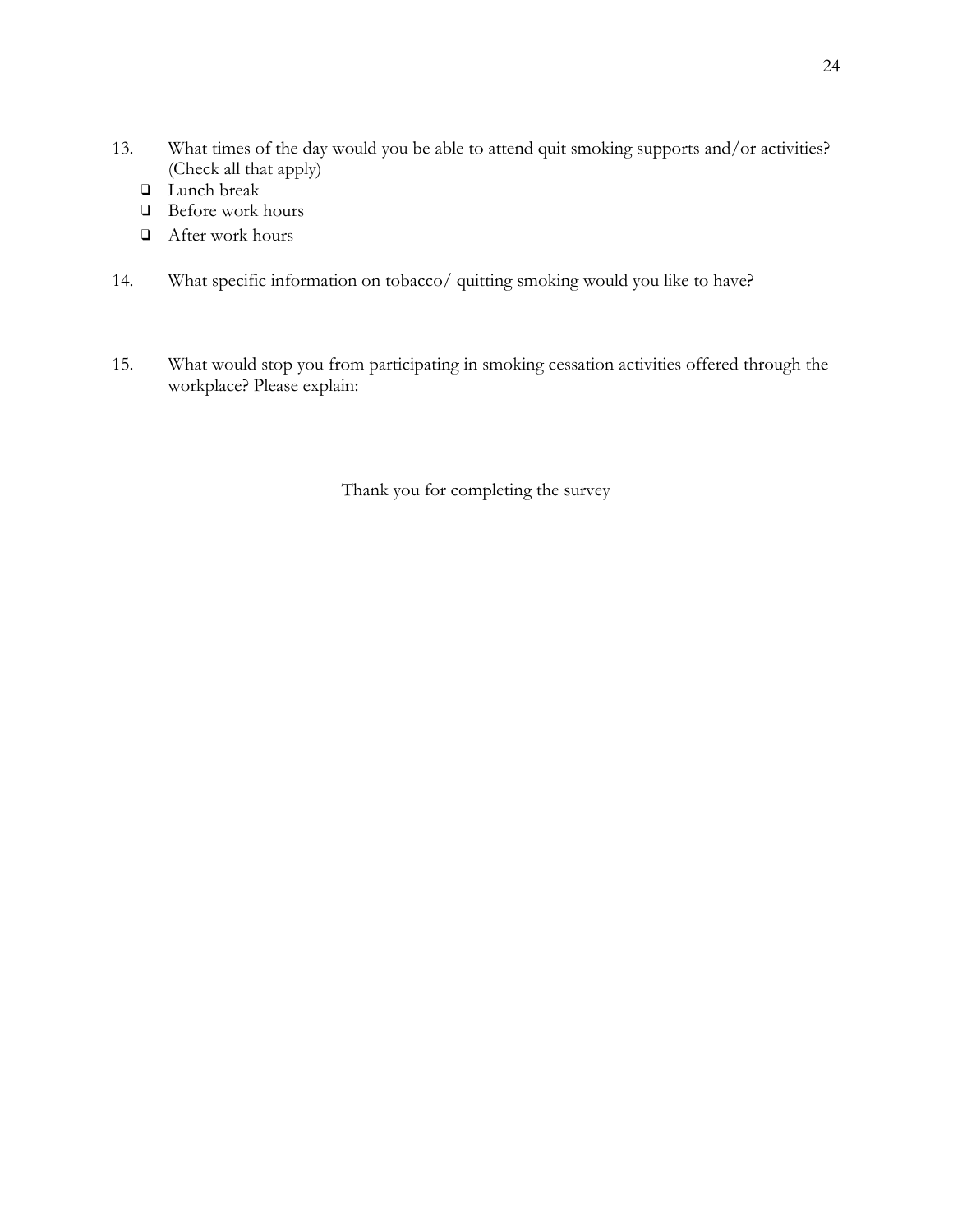- 13. What times of the day would you be able to attend quit smoking supports and/or activities? (Check all that apply)
	- ❑ Lunch break
	- ❑ Before work hours
	- ❑ After work hours
- 14. What specific information on tobacco/ quitting smoking would you like to have?
- 15. What would stop you from participating in smoking cessation activities offered through the workplace? Please explain:

Thank you for completing the survey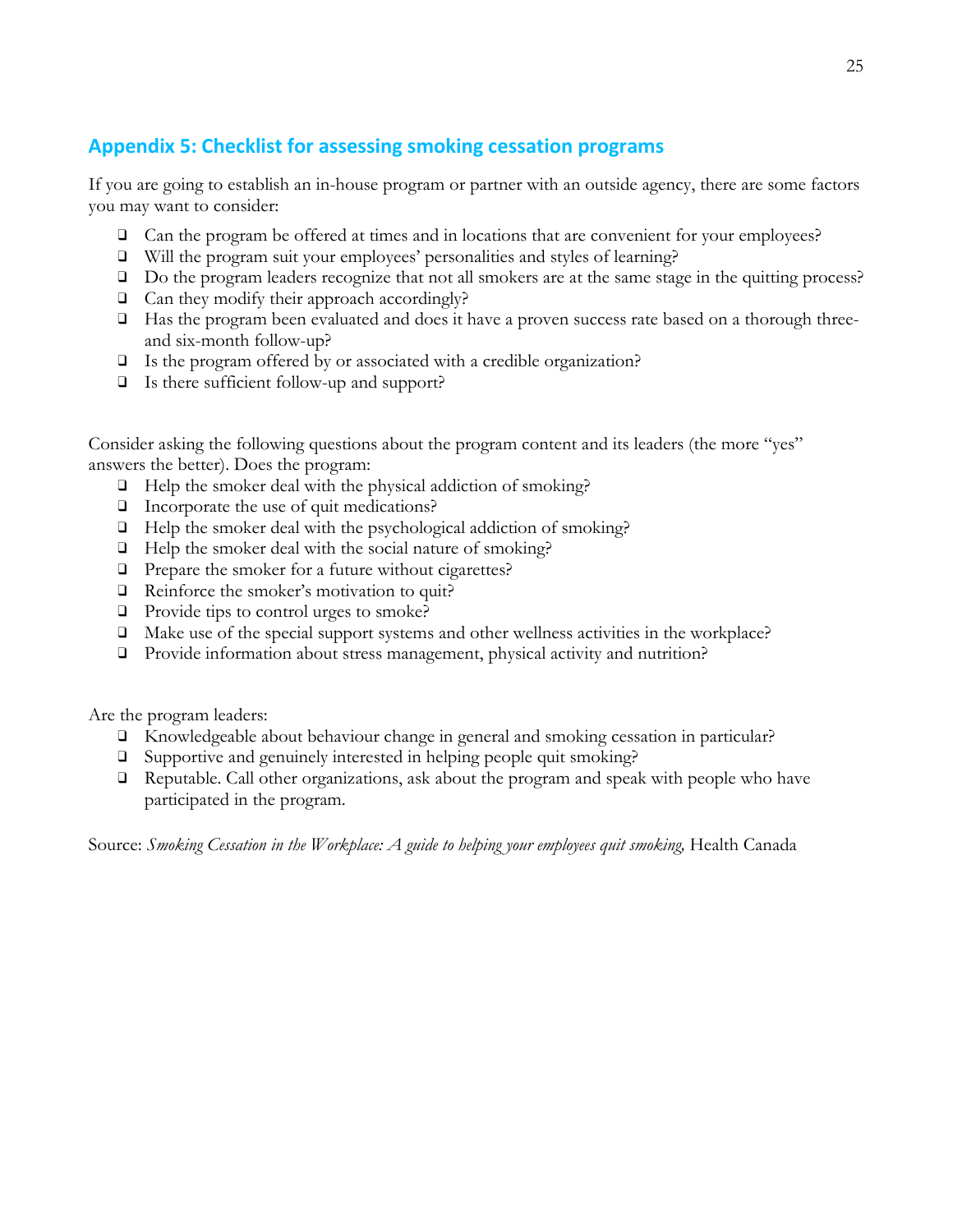# <span id="page-25-0"></span>**Appendix 5: Checklist for assessing smoking cessation programs**

If you are going to establish an in-house program or partner with an outside agency, there are some factors you may want to consider:

- ❑ Can the program be offered at times and in locations that are convenient for your employees?
- ❑ Will the program suit your employees' personalities and styles of learning?
- ❑ Do the program leaders recognize that not all smokers are at the same stage in the quitting process?
- ❑ Can they modify their approach accordingly?
- ❑ Has the program been evaluated and does it have a proven success rate based on a thorough threeand six-month follow-up?
- ❑ Is the program offered by or associated with a credible organization?
- ❑ Is there sufficient follow-up and support?

Consider asking the following questions about the program content and its leaders (the more "yes" answers the better). Does the program:

- ❑ Help the smoker deal with the physical addiction of smoking?
- ❑ Incorporate the use of quit medications?
- ❑ Help the smoker deal with the psychological addiction of smoking?
- ❑ Help the smoker deal with the social nature of smoking?
- ❑ Prepare the smoker for a future without cigarettes?
- ❑ Reinforce the smoker's motivation to quit?
- ❑ Provide tips to control urges to smoke?
- ❑ Make use of the special support systems and other wellness activities in the workplace?
- ❑ Provide information about stress management, physical activity and nutrition?

Are the program leaders:

- ❑ Knowledgeable about behaviour change in general and smoking cessation in particular?
- ❑ Supportive and genuinely interested in helping people quit smoking?
- ❑ Reputable. Call other organizations, ask about the program and speak with people who have participated in the program.

Source: *Smoking Cessation in the Workplace: A guide to helping your employees quit smoking,* Health Canada